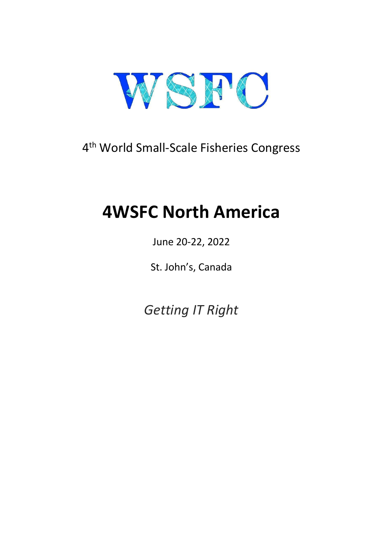

# 4th World Small-Scale Fisheries Congress

# **4WSFC North America**

# June 20-22, 2022

St. John's, Canada

*Getting IT Right*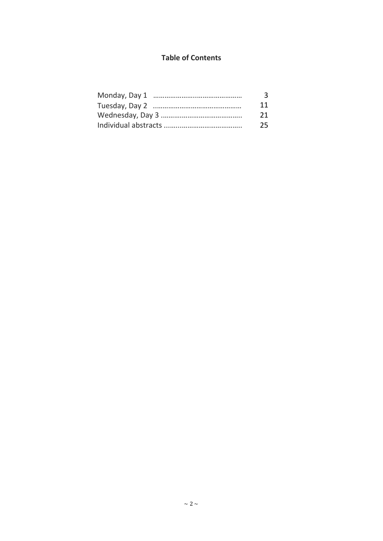# **Table of Contents**

| 3  |
|----|
| 11 |
| 21 |
| 25 |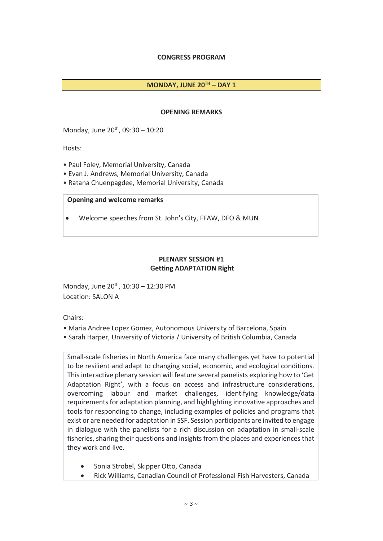# **CONGRESS PROGRAM**

#### **MONDAY, JUNE 20TH – DAY 1**

#### **OPENING REMARKS**

Monday, June 20<sup>th</sup>, 09:30 - 10:20

Hosts:

- Paul Foley, Memorial University, Canada
- Evan J. Andrews, Memorial University, Canada
- Ratana Chuenpagdee, Memorial University, Canada

#### **Opening and welcome remarks**

• Welcome speeches from St. John's City, FFAW, DFO & MUN

#### **PLENARY SESSION #1 Getting ADAPTATION Right**

Monday, June  $20^{th}$ ,  $10:30 - 12:30$  PM Location: SALON A

Chairs:

- Maria Andree Lopez Gomez, Autonomous University of Barcelona, Spain
- Sarah Harper, University of Victoria / University of British Columbia, Canada

Small-scale fisheries in North America face many challenges yet have to potential to be resilient and adapt to changing social, economic, and ecological conditions. This interactive plenary session will feature several panelists exploring how to 'Get Adaptation Right', with a focus on access and infrastructure considerations, overcoming labour and market challenges, identifying knowledge/data requirements for adaptation planning, and highlighting innovative approaches and tools for responding to change, including examples of policies and programs that exist or are needed for adaptation in SSF. Session participants are invited to engage in dialogue with the panelists for a rich discussion on adaptation in small-scale fisheries, sharing their questions and insights from the places and experiences that they work and live.

- Sonia Strobel, Skipper Otto, Canada
- Rick Williams, Canadian Council of Professional Fish Harvesters, Canada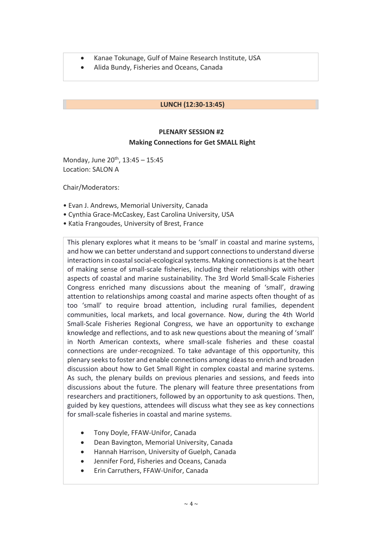- Kanae Tokunage, Gulf of Maine Research Institute, USA
- Alida Bundy, Fisheries and Oceans, Canada

#### **LUNCH (12:30-13:45)**

# **PLENARY SESSION #2 Making Connections for Get SMALL Right**

Monday, June  $20^{th}$ ,  $13:45 - 15:45$ Location: SALON A

Chair/Moderators:

- Evan J. Andrews, Memorial University, Canada
- Cynthia Grace-McCaskey, East Carolina University, USA
- Katia Frangoudes, University of Brest, France

This plenary explores what it means to be 'small' in coastal and marine systems, and how we can better understand and support connections to understand diverse interactions in coastal social-ecological systems. Making connections is at the heart of making sense of small-scale fisheries, including their relationships with other aspects of coastal and marine sustainability. The 3rd World Small-Scale Fisheries Congress enriched many discussions about the meaning of 'small', drawing attention to relationships among coastal and marine aspects often thought of as too 'small' to require broad attention, including rural families, dependent communities, local markets, and local governance. Now, during the 4th World Small-Scale Fisheries Regional Congress, we have an opportunity to exchange knowledge and reflections, and to ask new questions about the meaning of 'small' in North American contexts, where small-scale fisheries and these coastal connections are under-recognized. To take advantage of this opportunity, this plenary seeks to foster and enable connections among ideas to enrich and broaden discussion about how to Get Small Right in complex coastal and marine systems. As such, the plenary builds on previous plenaries and sessions, and feeds into discussions about the future. The plenary will feature three presentations from researchers and practitioners, followed by an opportunity to ask questions. Then, guided by key questions, attendees will discuss what they see as key connections for small-scale fisheries in coastal and marine systems.

- Tony Doyle, FFAW-Unifor, Canada
- Dean Bavington, Memorial University, Canada
- Hannah Harrison, University of Guelph, Canada
- Jennifer Ford, Fisheries and Oceans, Canada
- Erin Carruthers, FFAW-Unifor, Canada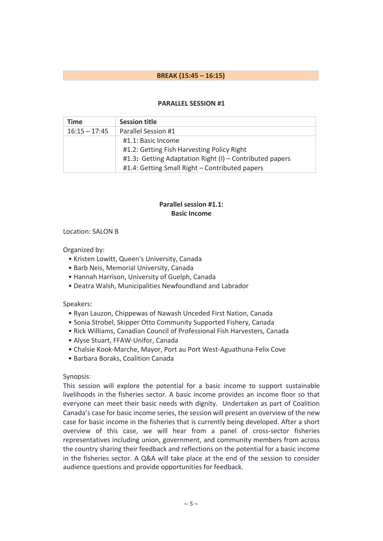### **BREAK (15:45 – 16:15)**

#### **PARALLEL SESSION #1**

| Time            | <b>Session title</b>                                    |
|-----------------|---------------------------------------------------------|
| $16:15 - 17:45$ | Parallel Session #1                                     |
|                 | #1.1: Basic Income                                      |
|                 | #1.2: Getting Fish Harvesting Policy Right              |
|                 | #1.3: Getting Adaptation Right (I) - Contributed papers |
|                 | #1.4: Getting Small Right – Contributed papers          |

# **Parallel session #1.1: Basic Income**

#### Location: SALON B

Organized by:

- Kristen Lowitt, Queen's University, Canada
- Barb Neis, Memorial University, Canada
- Hannah Harrison, University of Guelph, Canada
- Deatra Walsh, Municipalities Newfoundland and Labrador

#### Speakers:

- Ryan Lauzon, Chippewas of Nawash Unceded First Nation, Canada
- Sonia Strobel, Skipper Otto Community Supported Fishery, Canada
- Rick Williams, Canadian Council of Professional Fish Harvesters, Canada
- Alyse Stuart, FFAW-Unifor, Canada
- Chalsie Kook-Marche, Mayor, Port au Port West-Aguathuna-Felix Cove
- Barbara Boraks, Coalition Canada

#### Synopsis:

This session will explore the potential for a basic income to support sustainable livelihoods in the fisheries sector. A basic income provides an income floor so that everyone can meet their basic needs with dignity. Undertaken as part of Coalition Canada's case for basic income series, the session will present an overview of the new case for basic income in the fisheries that is currently being developed. After a short overview of this case, we will hear from a panel of cross-sector fisheries representatives including union, government, and community members from across the country sharing their feedback and reflections on the potential for a basic income in the fisheries sector. A Q&A will take place at the end of the session to consider audience questions and provide opportunities for feedback.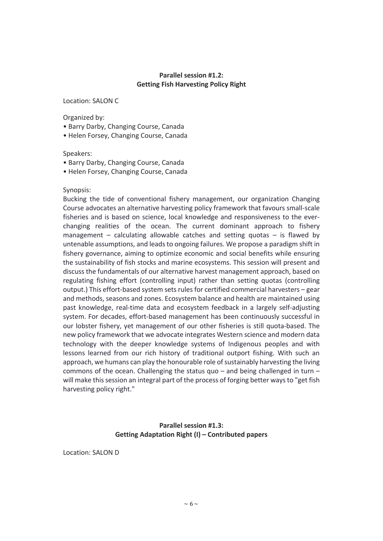#### **Parallel session #1.2: Getting Fish Harvesting Policy Right**

Location: SALON C

Organized by:

- Barry Darby, Changing Course, Canada
- Helen Forsey, Changing Course, Canada

#### Speakers:

- Barry Darby, Changing Course, Canada
- Helen Forsey, Changing Course, Canada

#### Synopsis:

Bucking the tide of conventional fishery management, our organization Changing Course advocates an alternative harvesting policy framework that favours small-scale fisheries and is based on science, local knowledge and responsiveness to the everchanging realities of the ocean. The current dominant approach to fishery management – calculating allowable catches and setting quotas – is flawed by untenable assumptions, and leads to ongoing failures. We propose a paradigm shift in fishery governance, aiming to optimize economic and social benefits while ensuring the sustainability of fish stocks and marine ecosystems. This session will present and discuss the fundamentals of our alternative harvest management approach, based on regulating fishing effort (controlling input) rather than setting quotas (controlling output.) This effort-based system sets rules for certified commercial harvesters – gear and methods, seasons and zones. Ecosystem balance and health are maintained using past knowledge, real-time data and ecosystem feedback in a largely self-adjusting system. For decades, effort-based management has been continuously successful in our lobster fishery, yet management of our other fisheries is still quota-based. The new policy framework that we advocate integrates Western science and modern data technology with the deeper knowledge systems of Indigenous peoples and with lessons learned from our rich history of traditional outport fishing. With such an approach, we humans can play the honourable role of sustainably harvesting the living commons of the ocean. Challenging the status quo – and being challenged in turn – will make this session an integral part of the process of forging better ways to "get fish harvesting policy right."

### **Parallel session #1.3: Getting Adaptation Right (I) – Contributed papers**

Location: SALON D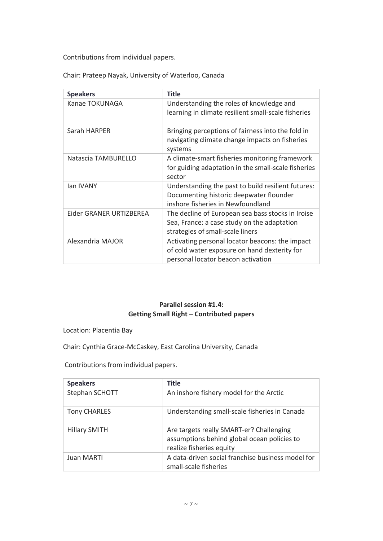Contributions from individual papers.

Chair: Prateep Nayak, University of Waterloo, Canada

| <b>Speakers</b>         | <b>Title</b>                                                                                                                          |
|-------------------------|---------------------------------------------------------------------------------------------------------------------------------------|
| Kanae TOKUNAGA          | Understanding the roles of knowledge and<br>learning in climate resilient small-scale fisheries                                       |
| Sarah HARPER            | Bringing perceptions of fairness into the fold in<br>navigating climate change impacts on fisheries<br>systems                        |
| Natascia TAMBURELLO     | A climate-smart fisheries monitoring framework<br>for guiding adaptation in the small-scale fisheries<br>sector                       |
| lan IVANY               | Understanding the past to build resilient futures:<br>Documenting historic deepwater flounder<br>inshore fisheries in Newfoundland    |
| Eider GRANER URTIZBEREA | The decline of European sea bass stocks in Iroise<br>Sea, France: a case study on the adaptation<br>strategies of small-scale liners  |
| Alexandria MAJOR        | Activating personal locator beacons: the impact<br>of cold water exposure on hand dexterity for<br>personal locator beacon activation |

# **Parallel session #1.4: Getting Small Right – Contributed papers**

Location: Placentia Bay

Chair: Cynthia Grace-McCaskey, East Carolina University, Canada

Contributions from individual papers.

| <b>Speakers</b>     | <b>Title</b>                                                                                                        |
|---------------------|---------------------------------------------------------------------------------------------------------------------|
| Stephan SCHOTT      | An inshore fishery model for the Arctic                                                                             |
| <b>Tony CHARLES</b> | Understanding small-scale fisheries in Canada                                                                       |
| Hillary SMITH       | Are targets really SMART-er? Challenging<br>assumptions behind global ocean policies to<br>realize fisheries equity |
| Juan MARTI          | A data-driven social franchise business model for<br>small-scale fisheries                                          |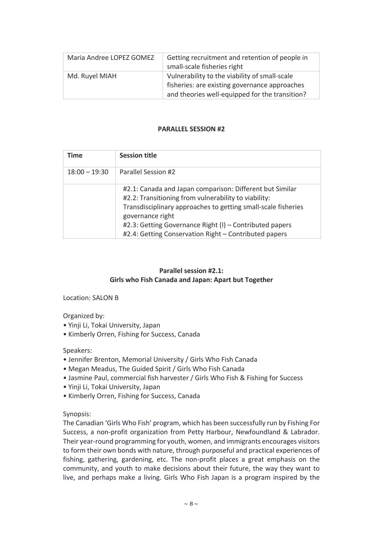| Maria Andree LOPEZ GOMEZ | Getting recruitment and retention of people in<br>small-scale fisheries right                                                                    |
|--------------------------|--------------------------------------------------------------------------------------------------------------------------------------------------|
| Md. Ruyel MIAH           | Vulnerability to the viability of small-scale<br>fisheries: are existing governance approaches<br>and theories well-equipped for the transition? |

#### **PARALLEL SESSION #2**

| <b>Time</b>     | <b>Session title</b>                                                                                                                                                                                                                                                                                                      |
|-----------------|---------------------------------------------------------------------------------------------------------------------------------------------------------------------------------------------------------------------------------------------------------------------------------------------------------------------------|
| $18:00 - 19:30$ | Parallel Session #2                                                                                                                                                                                                                                                                                                       |
|                 | #2.1: Canada and Japan comparison: Different but Similar<br>#2.2: Transitioning from vulnerability to viability:<br>Transdisciplinary approaches to getting small-scale fisheries<br>governance right<br>#2.3: Getting Governance Right (I) - Contributed papers<br>#2.4: Getting Conservation Right - Contributed papers |

# **Parallel session #2.1: Girls who Fish Canada and Japan: Apart but Together**

Location: SALON B

Organized by:

- Yinji Li, Tokai University, Japan
- Kimberly Orren, Fishing for Success, Canada

# Speakers:

- Jennifer Brenton, Memorial University / Girls Who Fish Canada
- Megan Meadus, The Guided Spirit / Girls Who Fish Canada
- Jasmine Paul, commercial fish harvester / Girls Who Fish & Fishing for Success
- Yinji Li, Tokai University, Japan
- Kimberly Orren, Fishing for Success, Canada

Synopsis:

The Canadian 'Girls Who Fish' program, which has been successfully run by Fishing For Success, a non-profit organization from Petty Harbour, Newfoundland & Labrador. Their year-round programming for youth, women, and immigrants encourages visitors to form their own bonds with nature, through purposeful and practical experiences of fishing, gathering, gardening, etc. The non-profit places a great emphasis on the community, and youth to make decisions about their future, the way they want to live, and perhaps make a living. Girls Who Fish Japan is a program inspired by the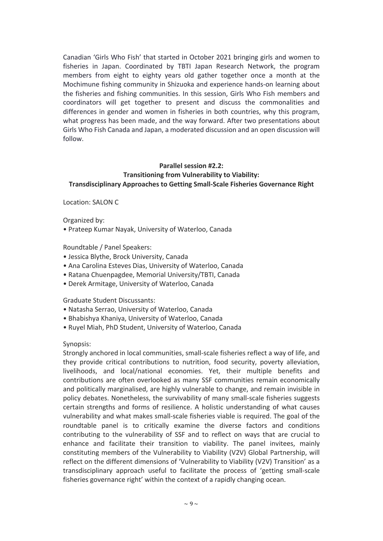Canadian 'Girls Who Fish' that started in October 2021 bringing girls and women to fisheries in Japan. Coordinated by TBTI Japan Research Network, the program members from eight to eighty years old gather together once a month at the Mochimune fishing community in Shizuoka and experience hands-on learning about the fisheries and fishing communities. In this session, Girls Who Fish members and coordinators will get together to present and discuss the commonalities and differences in gender and women in fisheries in both countries, why this program, what progress has been made, and the way forward. After two presentations about Girls Who Fish Canada and Japan, a moderated discussion and an open discussion will follow.

# **Parallel session #2.2: Transitioning from Vulnerability to Viability: Transdisciplinary Approaches to Getting Small-Scale Fisheries Governance Right**

Location: SALON C

Organized by:

• Prateep Kumar Nayak, University of Waterloo, Canada

Roundtable / Panel Speakers:

- Jessica Blythe, Brock University, Canada
- Ana Carolina Esteves Dias, University of Waterloo, Canada
- Ratana Chuenpagdee, Memorial University/TBTI, Canada
- Derek Armitage, University of Waterloo, Canada

Graduate Student Discussants:

- Natasha Serrao, University of Waterloo, Canada
- Bhabishya Khaniya, University of Waterloo, Canada
- Ruyel Miah, PhD Student, University of Waterloo, Canada

#### Synopsis:

Strongly anchored in local communities, small-scale fisheries reflect a way of life, and they provide critical contributions to nutrition, food security, poverty alleviation, livelihoods, and local/national economies. Yet, their multiple benefits and contributions are often overlooked as many SSF communities remain economically and politically marginalised, are highly vulnerable to change, and remain invisible in policy debates. Nonetheless, the survivability of many small-scale fisheries suggests certain strengths and forms of resilience. A holistic understanding of what causes vulnerability and what makes small-scale fisheries viable is required. The goal of the roundtable panel is to critically examine the diverse factors and conditions contributing to the vulnerability of SSF and to reflect on ways that are crucial to enhance and facilitate their transition to viability. The panel invitees, mainly constituting members of the Vulnerability to Viability (V2V) Global Partnership, will reflect on the different dimensions of 'Vulnerability to Viability (V2V) Transition' as a transdisciplinary approach useful to facilitate the process of 'getting small-scale fisheries governance right' within the context of a rapidly changing ocean.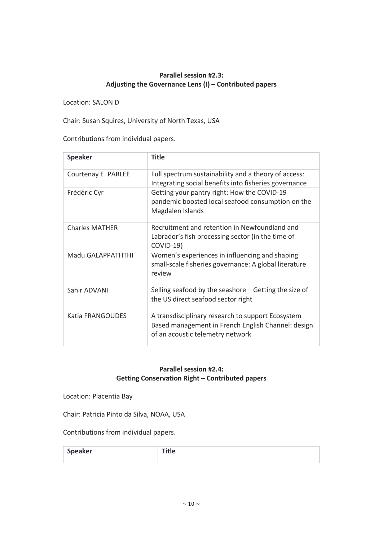# **Parallel session #2.3: Adjusting the Governance Lens (I) – Contributed papers**

Location: SALON D

Chair: Susan Squires, University of North Texas, USA

Contributions from individual papers.

| <b>Speaker</b>        | Title                                                                                                                                       |
|-----------------------|---------------------------------------------------------------------------------------------------------------------------------------------|
| Courtenay E. PARLEE   | Full spectrum sustainability and a theory of access:<br>Integrating social benefits into fisheries governance                               |
| Frédéric Cyr          | Getting your pantry right: How the COVID-19<br>pandemic boosted local seafood consumption on the<br>Magdalen Islands                        |
| <b>Charles MATHER</b> | Recruitment and retention in Newfoundland and<br>Labrador's fish processing sector (in the time of<br>COVID-19)                             |
| Madu GALAPPATHTHI     | Women's experiences in influencing and shaping<br>small-scale fisheries governance: A global literature<br>review                           |
| Sahir ADVANI          | Selling seafood by the seashore $-$ Getting the size of<br>the US direct seafood sector right                                               |
| Katia FRANGOUDES      | A transdisciplinary research to support Ecosystem<br>Based management in French English Channel: design<br>of an acoustic telemetry network |

# **Parallel session #2.4: Getting Conservation Right – Contributed papers**

Location: Placentia Bay

Chair: Patricia Pinto da Silva, NOAA, USA

Contributions from individual papers.

| <b>Speaker</b> | ┅ |
|----------------|---|
|                |   |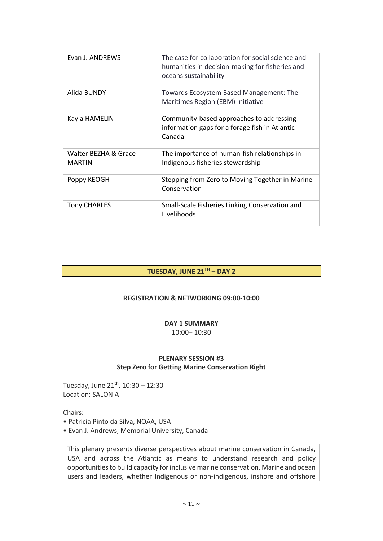| Evan J. ANDREWS                       | The case for collaboration for social science and<br>humanities in decision-making for fisheries and<br>oceans sustainability |
|---------------------------------------|-------------------------------------------------------------------------------------------------------------------------------|
| Alida BUNDY                           | Towards Ecosystem Based Management: The<br>Maritimes Region (EBM) Initiative                                                  |
| Kayla HAMELIN                         | Community-based approaches to addressing<br>information gaps for a forage fish in Atlantic<br>Canada                          |
| Walter BEZHA & Grace<br><b>MARTIN</b> | The importance of human-fish relationships in<br>Indigenous fisheries stewardship                                             |
| Poppy KEOGH                           | Stepping from Zero to Moving Together in Marine<br>Conservation                                                               |
| <b>Tony CHARLES</b>                   | Small-Scale Fisheries Linking Conservation and<br>Livelihoods                                                                 |

# **TUESDAY, JUNE 21TH – DAY 2**

### **REGISTRATION & NETWORKING 09:00-10:00**

# **DAY 1 SUMMARY**

10:00– 10:30

# **PLENARY SESSION #3 Step Zero for Getting Marine Conservation Right**

Tuesday, June  $21^{th}$ ,  $10:30 - 12:30$ Location: SALON A

Chairs:

- Patricia Pinto da Silva, NOAA, USA
- Evan J. Andrews, Memorial University, Canada

This plenary presents diverse perspectives about marine conservation in Canada, USA and across the Atlantic as means to understand research and policy opportunities to build capacity for inclusive marine conservation. Marine and ocean users and leaders, whether Indigenous or non-indigenous, inshore and offshore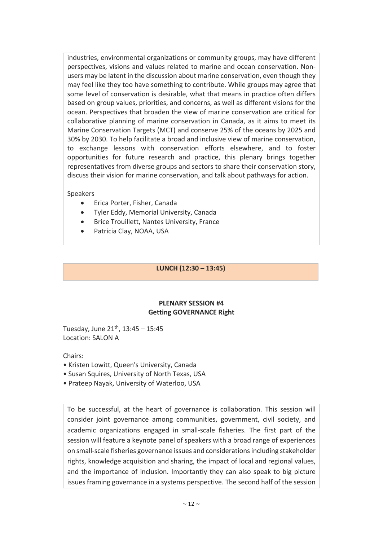industries, environmental organizations or community groups, may have different perspectives, visions and values related to marine and ocean conservation. Nonusers may be latent in the discussion about marine conservation, even though they may feel like they too have something to contribute. While groups may agree that some level of conservation is desirable, what that means in practice often differs based on group values, priorities, and concerns, as well as different visions for the ocean. Perspectives that broaden the view of marine conservation are critical for collaborative planning of marine conservation in Canada, as it aims to meet its Marine Conservation Targets (MCT) and conserve 25% of the oceans by 2025 and 30% by 2030. To help facilitate a broad and inclusive view of marine conservation, to exchange lessons with conservation efforts elsewhere, and to foster opportunities for future research and practice, this plenary brings together representatives from diverse groups and sectors to share their conservation story, discuss their vision for marine conservation, and talk about pathways for action.

# Speakers

- Erica Porter, Fisher, Canada
- Tyler Eddy, Memorial University, Canada
- Brice Trouillett, Nantes University, France
- Patricia Clay, NOAA, USA

# **LUNCH (12:30 – 13:45)**

# **PLENARY SESSION #4 Getting GOVERNANCE Right**

Tuesday, June  $21^{th}$ ,  $13:45 - 15:45$ Location: SALON A

Chairs:

- Kristen Lowitt, Queen's University, Canada
- Susan Squires, University of North Texas, USA
- Prateep Nayak, University of Waterloo, USA

To be successful, at the heart of governance is collaboration. This session will consider joint governance among communities, government, civil society, and academic organizations engaged in small-scale fisheries. The first part of the session will feature a keynote panel of speakers with a broad range of experiences on small-scale fisheries governance issues and considerations including stakeholder rights, knowledge acquisition and sharing, the impact of local and regional values, and the importance of inclusion. Importantly they can also speak to big picture issues framing governance in a systems perspective. The second half of the session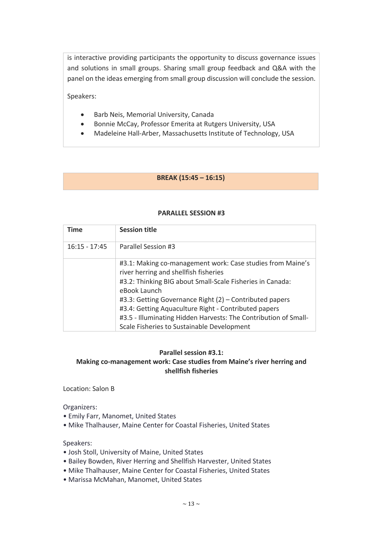is interactive providing participants the opportunity to discuss governance issues and solutions in small groups. Sharing small group feedback and Q&A with the panel on the ideas emerging from small group discussion will conclude the session.

Speakers:

- Barb Neis, Memorial University, Canada
- Bonnie McCay, Professor Emerita at Rutgers University, USA
- Madeleine Hall-Arber, Massachusetts Institute of Technology, USA

# **BREAK (15:45 – 16:15)**

| <b>Time</b>     | <b>Session title</b>                                                                                |
|-----------------|-----------------------------------------------------------------------------------------------------|
| $16:15 - 17:45$ | Parallel Session #3                                                                                 |
|                 | #3.1: Making co-management work: Case studies from Maine's<br>river herring and shellfish fisheries |
|                 | #3.2: Thinking BIG about Small-Scale Fisheries in Canada:<br>eBook Launch                           |
|                 | #3.3: Getting Governance Right (2) - Contributed papers                                             |
|                 | #3.4: Getting Aquaculture Right - Contributed papers                                                |
|                 | #3.5 - Illuminating Hidden Harvests: The Contribution of Small-                                     |
|                 | Scale Fisheries to Sustainable Development                                                          |

#### **PARALLEL SESSION #3**

#### **Parallel session #3.1: Making co-management work: Case studies from Maine's river herring and shellfish fisheries**

Location: Salon B

Organizers:

- Emily Farr, Manomet, United States
- Mike Thalhauser, Maine Center for Coastal Fisheries, United States

Speakers:

- Josh Stoll, University of Maine, United States
- Bailey Bowden, River Herring and Shellfish Harvester, United States
- Mike Thalhauser, Maine Center for Coastal Fisheries, United States
- Marissa McMahan, Manomet, United States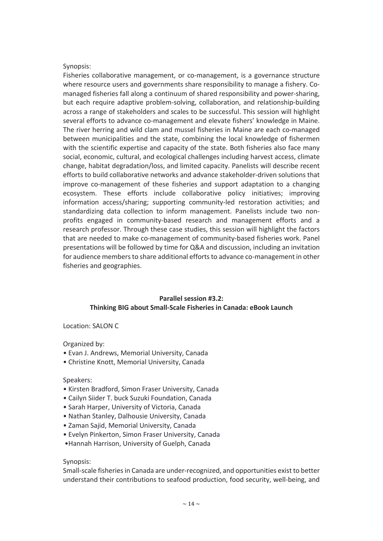#### Synopsis:

Fisheries collaborative management, or co-management, is a governance structure where resource users and governments share responsibility to manage a fishery. Comanaged fisheries fall along a continuum of shared responsibility and power-sharing, but each require adaptive problem-solving, collaboration, and relationship-building across a range of stakeholders and scales to be successful. This session will highlight several efforts to advance co-management and elevate fishers' knowledge in Maine. The river herring and wild clam and mussel fisheries in Maine are each co-managed between municipalities and the state, combining the local knowledge of fishermen with the scientific expertise and capacity of the state. Both fisheries also face many social, economic, cultural, and ecological challenges including harvest access, climate change, habitat degradation/loss, and limited capacity. Panelists will describe recent efforts to build collaborative networks and advance stakeholder-driven solutions that improve co-management of these fisheries and support adaptation to a changing ecosystem. These efforts include collaborative policy initiatives; improving information access/sharing; supporting community-led restoration activities; and standardizing data collection to inform management. Panelists include two nonprofits engaged in community-based research and management efforts and a research professor. Through these case studies, this session will highlight the factors that are needed to make co-management of community-based fisheries work. Panel presentations will be followed by time for Q&A and discussion, including an invitation for audience members to share additional efforts to advance co-management in other fisheries and geographies.

# **Parallel session #3.2: Thinking BIG about Small-Scale Fisheries in Canada: eBook Launch**

Location: SALON C

Organized by:

- Evan J. Andrews, Memorial University, Canada
- Christine Knott, Memorial University, Canada

#### Speakers:

- Kirsten Bradford, Simon Fraser University, Canada
- Cailyn Siider T. buck Suzuki Foundation, Canada
- Sarah Harper, University of Victoria, Canada
- Nathan Stanley, Dalhousie University, Canada
- Zaman Sajid, Memorial University, Canada
- Evelyn Pinkerton, Simon Fraser University, Canada
- •Hannah Harrison, University of Guelph, Canada

#### Synopsis:

Small-scale fisheries in Canada are under-recognized, and opportunities exist to better understand their contributions to seafood production, food security, well-being, and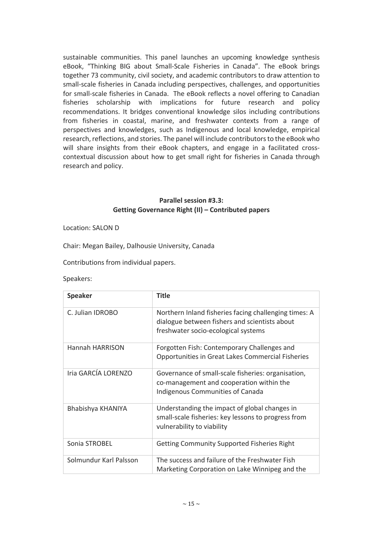sustainable communities. This panel launches an upcoming knowledge synthesis eBook, "Thinking BIG about Small-Scale Fisheries in Canada". The eBook brings together 73 community, civil society, and academic contributors to draw attention to small-scale fisheries in Canada including perspectives, challenges, and opportunities for small-scale fisheries in Canada. The eBook reflects a novel offering to Canadian fisheries scholarship with implications for future research and policy recommendations. It bridges conventional knowledge silos including contributions from fisheries in coastal, marine, and freshwater contexts from a range of perspectives and knowledges, such as Indigenous and local knowledge, empirical research, reflections, and stories. The panel will include contributors to the eBook who will share insights from their eBook chapters, and engage in a facilitated crosscontextual discussion about how to get small right for fisheries in Canada through research and policy.

#### **Parallel session #3.3: Getting Governance Right (II) – Contributed papers**

Location: SALON D

Chair: Megan Bailey, Dalhousie University, Canada

Contributions from individual papers.

#### Speakers:

| <b>Speaker</b>         | <b>Title</b>                                                                                                                                  |
|------------------------|-----------------------------------------------------------------------------------------------------------------------------------------------|
| C. Julian IDROBO       | Northern Inland fisheries facing challenging times: A<br>dialogue between fishers and scientists about<br>freshwater socio-ecological systems |
| <b>Hannah HARRISON</b> | Forgotten Fish: Contemporary Challenges and<br>Opportunities in Great Lakes Commercial Fisheries                                              |
| Iria GARCÍA LORENZO    | Governance of small-scale fisheries: organisation,<br>co-management and cooperation within the<br>Indigenous Communities of Canada            |
| Bhabishya KHANIYA      | Understanding the impact of global changes in<br>small-scale fisheries: key lessons to progress from<br>vulnerability to viability            |
| Sonia STROBEL          | <b>Getting Community Supported Fisheries Right</b>                                                                                            |
| Solmundur Karl Palsson | The success and failure of the Freshwater Fish<br>Marketing Corporation on Lake Winnipeg and the                                              |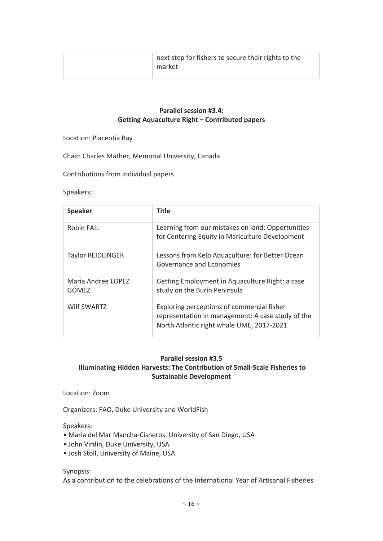| next step for fishers to secure their rights to the<br>market |
|---------------------------------------------------------------|
|                                                               |

# **Parallel session #3.4: Getting Aquaculture Right – Contributed papers**

Location: Placentia Bay

Chair: Charles Mather, Memorial University, Canada

Contributions from individual papers.

#### Speakers:

| <b>Speaker</b>                     | <b>Title</b>                                                                                                                                 |
|------------------------------------|----------------------------------------------------------------------------------------------------------------------------------------------|
| <b>Robin FAIL</b>                  | Learning from our mistakes on land: Opportunities<br>for Centering Equity in Mariculture Development                                         |
| <b>Taylor REIDLINGER</b>           | Lessons from Kelp Aquaculture: for Better Ocean<br>Governance and Economies                                                                  |
| Maria Andree LOPEZ<br><b>GOMEZ</b> | Getting Employment in Aquaculture Right: a case<br>study on the Burin Peninsula                                                              |
| <b>Wilf SWARTZ</b>                 | Exploring perceptions of commercial fisher<br>representation in management: A case study of the<br>North Atlantic right whale UME, 2017-2021 |

#### **Parallel session #3.5**

# **Illuminating Hidden Harvests: The Contribution of Small-Scale Fisheries to Sustainable Development**

Location: Zoom

Organizers: FAO, Duke University and WorldFish

Speakers:

- Maria del Mar Mancha-Cisneros, University of San Diego, USA
- John Virdin, Duke University, USA
- Josh Stoll, University of Maine, USA

Synopsis:

As a contribution to the celebrations of the International Year of Artisanal Fisheries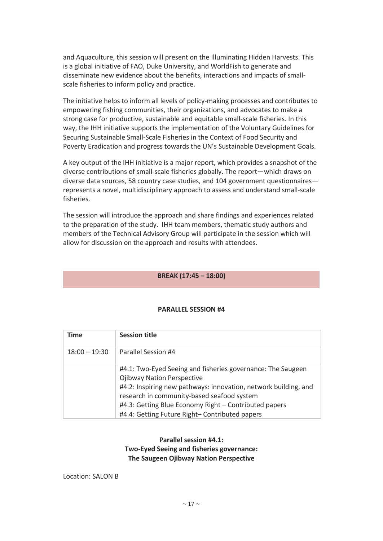and Aquaculture, this session will present on the Illuminating Hidden Harvests. This is a global initiative of FAO, Duke University, and WorldFish to generate and disseminate new evidence about the benefits, interactions and impacts of smallscale fisheries to inform policy and practice.

The initiative helps to inform all levels of policy-making processes and contributes to empowering fishing communities, their organizations, and advocates to make a strong case for productive, sustainable and equitable small-scale fisheries. In this way, the IHH initiative supports the implementation of the Voluntary Guidelines for Securing Sustainable Small-Scale Fisheries in the Context of Food Security and Poverty Eradication and progress towards the UN's Sustainable Development Goals.

A key output of the IHH initiative is a major report, which provides a snapshot of the diverse contributions of small-scale fisheries globally. The report—which draws on diverse data sources, 58 country case studies, and 104 government questionnaires represents a novel, multidisciplinary approach to assess and understand small-scale fisheries.

The session will introduce the approach and share findings and experiences related to the preparation of the study. IHH team members, thematic study authors and members of the Technical Advisory Group will participate in the session which will allow for discussion on the approach and results with attendees.

#### **BREAK (17:45 – 18:00)**

| <b>Time</b>     | <b>Session title</b>                                                                                                                                                                                                                                                                                                         |
|-----------------|------------------------------------------------------------------------------------------------------------------------------------------------------------------------------------------------------------------------------------------------------------------------------------------------------------------------------|
| $18:00 - 19:30$ | Parallel Session #4                                                                                                                                                                                                                                                                                                          |
|                 | #4.1: Two-Eyed Seeing and fisheries governance: The Saugeen<br><b>Ojibway Nation Perspective</b><br>#4.2: Inspiring new pathways: innovation, network building, and<br>research in community-based seafood system<br>#4.3: Getting Blue Economy Right - Contributed papers<br>#4.4: Getting Future Right- Contributed papers |

#### **PARALLEL SESSION #4**

**Parallel session #4.1: Two-Eyed Seeing and fisheries governance: The Saugeen Ojibway Nation Perspective**

Location: SALON B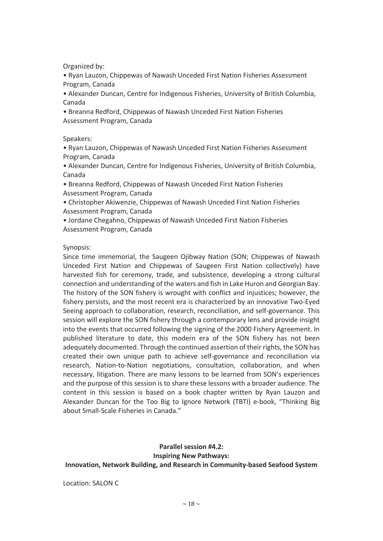Organized by:

• Ryan Lauzon, Chippewas of Nawash Unceded First Nation Fisheries Assessment Program, Canada

• Alexander Duncan, Centre for Indigenous Fisheries, University of British Columbia, Canada

• Breanna Redford, Chippewas of Nawash Unceded First Nation Fisheries Assessment Program, Canada

Speakers:

• Ryan Lauzon, Chippewas of Nawash Unceded First Nation Fisheries Assessment Program, Canada

• Alexander Duncan, Centre for Indigenous Fisheries, University of British Columbia, Canada

• Breanna Redford, Chippewas of Nawash Unceded First Nation Fisheries Assessment Program, Canada

• Christopher Akiwenzie, Chippewas of Nawash Unceded First Nation Fisheries Assessment Program, Canada

• Jordane Chegahno, Chippewas of Nawash Unceded First Nation Fisheries Assessment Program, Canada

Synopsis:

Since time immemorial, the Saugeen Ojibway Nation (SON; Chippewas of Nawash Unceded First Nation and Chippewas of Saugeen First Nation collectively) have harvested fish for ceremony, trade, and subsistence, developing a strong cultural connection and understanding of the waters and fish in Lake Huron and Georgian Bay. The history of the SON fishery is wrought with conflict and injustices; however, the fishery persists, and the most recent era is characterized by an innovative Two-Eyed Seeing approach to collaboration, research, reconciliation, and self-governance. This session will explore the SON fishery through a contemporary lens and provide insight into the events that occurred following the signing of the 2000 Fishery Agreement. In published literature to date, this modern era of the SON fishery has not been adequately documented. Through the continued assertion of their rights, the SON has created their own unique path to achieve self-governance and reconciliation via research, Nation-to-Nation negotiations, consultation, collaboration, and when necessary, litigation. There are many lessons to be learned from SON's experiences and the purpose of this session is to share these lessons with a broader audience. The content in this session is based on a book chapter written by Ryan Lauzon and Alexander Duncan for the Too Big to Ignore Network (TBTI) e-book, "Thinking Big about Small-Scale Fisheries in Canada."

**Parallel session #4.2: Inspiring New Pathways: Innovation, Network Building, and Research in Community-based Seafood System**

Location: SALON C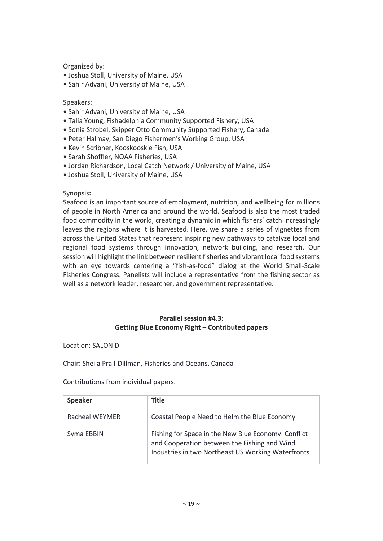Organized by:

- Joshua Stoll, University of Maine, USA
- Sahir Advani, University of Maine, USA

#### Speakers:

- Sahir Advani, University of Maine, USA
- Talia Young, Fishadelphia Community Supported Fishery, USA
- Sonia Strobel, Skipper Otto Community Supported Fishery, Canada
- Peter Halmay, San Diego Fishermen's Working Group, USA
- Kevin Scribner, Kooskooskie Fish, USA
- Sarah Shoffler, NOAA Fisheries, USA
- Jordan Richardson, Local Catch Network / University of Maine, USA
- Joshua Stoll, University of Maine, USA

#### Synopsis**:**

Seafood is an important source of employment, nutrition, and wellbeing for millions of people in North America and around the world. Seafood is also the most traded food commodity in the world, creating a dynamic in which fishers' catch increasingly leaves the regions where it is harvested. Here, we share a series of vignettes from across the United States that represent inspiring new pathways to catalyze local and regional food systems through innovation, network building, and research. Our session will highlight the link between resilient fisheries and vibrant local food systems with an eye towards centering a "fish-as-food" dialog at the World Small-Scale Fisheries Congress. Panelists will include a representative from the fishing sector as well as a network leader, researcher, and government representative.

# **Parallel session #4.3: Getting Blue Economy Right – Contributed papers**

Location: SALON D

Chair: Sheila Prall-Dillman, Fisheries and Oceans, Canada

Contributions from individual papers.

| <b>Speaker</b> | <b>Title</b>                                                                                                                                              |
|----------------|-----------------------------------------------------------------------------------------------------------------------------------------------------------|
| Racheal WEYMER | Coastal People Need to Helm the Blue Economy                                                                                                              |
| Syma EBBIN     | Fishing for Space in the New Blue Economy: Conflict<br>and Cooperation between the Fishing and Wind<br>Industries in two Northeast US Working Waterfronts |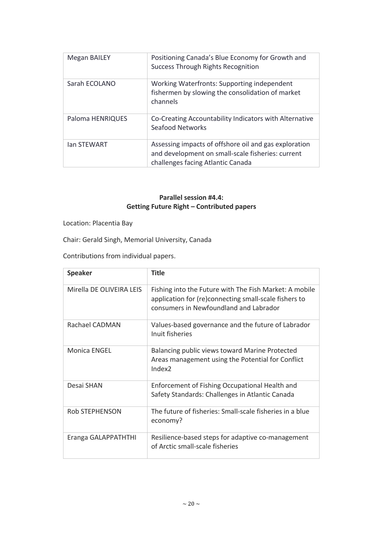| <b>Megan BAILEY</b> | Positioning Canada's Blue Economy for Growth and<br>Success Through Rights Recognition                                                          |
|---------------------|-------------------------------------------------------------------------------------------------------------------------------------------------|
| Sarah ECOLANO       | Working Waterfronts: Supporting independent<br>fishermen by slowing the consolidation of market<br>channels                                     |
| Paloma HENRIQUES    | Co-Creating Accountability Indicators with Alternative<br>Seafood Networks                                                                      |
| <b>Ian STEWART</b>  | Assessing impacts of offshore oil and gas exploration<br>and development on small-scale fisheries: current<br>challenges facing Atlantic Canada |

# **Parallel session #4.4: Getting Future Right – Contributed papers**

Location: Placentia Bay

Chair: Gerald Singh, Memorial University, Canada

Contributions from individual papers.

| <b>Speaker</b>           | <b>Title</b>                                                                                                                                              |
|--------------------------|-----------------------------------------------------------------------------------------------------------------------------------------------------------|
| Mirella DE OLIVEIRA LEIS | Fishing into the Future with The Fish Market: A mobile<br>application for (re)connecting small-scale fishers to<br>consumers in Newfoundland and Labrador |
| Rachael CADMAN           | Values-based governance and the future of Labrador<br>Inuit fisheries                                                                                     |
| <b>Monica ENGEL</b>      | Balancing public views toward Marine Protected<br>Areas management using the Potential for Conflict<br>Index <sub>2</sub>                                 |
| Desai SHAN               | Enforcement of Fishing Occupational Health and<br>Safety Standards: Challenges in Atlantic Canada                                                         |
| <b>Rob STEPHENSON</b>    | The future of fisheries: Small-scale fisheries in a blue<br>economy?                                                                                      |
| Eranga GALAPPATHTHI      | Resilience-based steps for adaptive co-management<br>of Arctic small-scale fisheries                                                                      |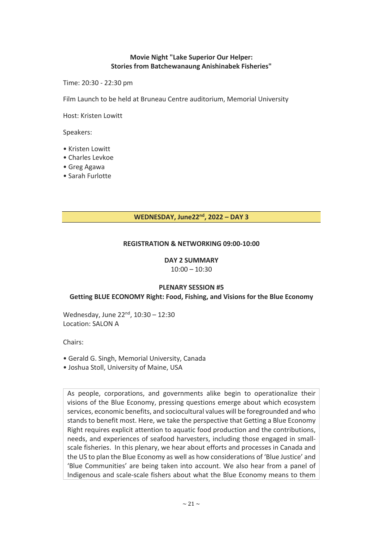# **Movie Night "Lake Superior Our Helper: Stories from Batchewanaung Anishinabek Fisheries"**

Time: 20:30 - 22:30 pm

Film Launch to be held at Bruneau Centre auditorium, Memorial University

Host: Kristen Lowitt

Speakers:

- Kristen Lowitt
- Charles Levkoe
- Greg Agawa
- Sarah Furlotte

# **WEDNESDAY, June22nd, 2022 – DAY 3**

#### **REGISTRATION & NETWORKING 09:00-10:00**

# **DAY 2 SUMMARY**

 $10:00 - 10:30$ 

#### **PLENARY SESSION #5 Getting BLUE ECONOMY Right: Food, Fishing, and Visions for the Blue Economy**

Wednesday, June 22<sup>nd</sup>, 10:30 - 12:30 Location: SALON A

Chairs:

- Gerald G. Singh, Memorial University, Canada
- Joshua Stoll, University of Maine, USA

As people, corporations, and governments alike begin to operationalize their visions of the Blue Economy, pressing questions emerge about which ecosystem services, economic benefits, and sociocultural values will be foregrounded and who stands to benefit most. Here, we take the perspective that Getting a Blue Economy Right requires explicit attention to aquatic food production and the contributions, needs, and experiences of seafood harvesters, including those engaged in smallscale fisheries. In this plenary, we hear about efforts and processes in Canada and the US to plan the Blue Economy as well as how considerations of 'Blue Justice' and 'Blue Communities' are being taken into account. We also hear from a panel of Indigenous and scale-scale fishers about what the Blue Economy means to them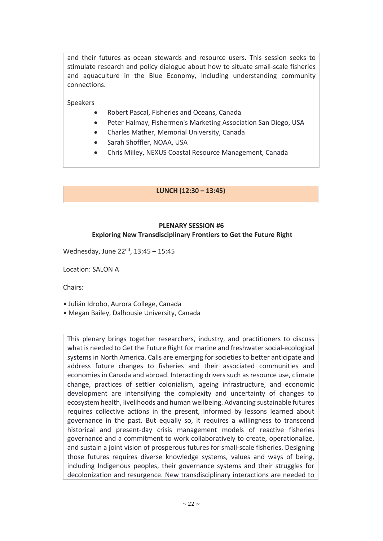and their futures as ocean stewards and resource users. This session seeks to stimulate research and policy dialogue about how to situate small-scale fisheries and aquaculture in the Blue Economy, including understanding community connections.

Speakers

- Robert Pascal, Fisheries and Oceans, Canada
- Peter Halmay, Fishermen's Marketing Association San Diego, USA
- Charles Mather, Memorial University, Canada
- Sarah Shoffler, NOAA, USA
- Chris Milley, NEXUS Coastal Resource Management, Canada

#### **LUNCH (12:30 – 13:45)**

# **PLENARY SESSION #6 Exploring New Transdisciplinary Frontiers to Get the Future Right**

Wednesday, June 22<sup>nd</sup>, 13:45 - 15:45

Location: SALON A

Chairs:

- Julián Idrobo, Aurora College, Canada
- Megan Bailey, Dalhousie University, Canada

This plenary brings together researchers, industry, and practitioners to discuss what is needed to Get the Future Right for marine and freshwater social-ecological systems in North America. Calls are emerging for societies to better anticipate and address future changes to fisheries and their associated communities and economies in Canada and abroad. Interacting drivers such as resource use, climate change, practices of settler colonialism, ageing infrastructure, and economic development are intensifying the complexity and uncertainty of changes to ecosystem health, livelihoods and human wellbeing. Advancing sustainable futures requires collective actions in the present, informed by lessons learned about governance in the past. But equally so, it requires a willingness to transcend historical and present-day crisis management models of reactive fisheries governance and a commitment to work collaboratively to create, operationalize, and sustain a joint vision of prosperous futures for small-scale fisheries. Designing those futures requires diverse knowledge systems, values and ways of being, including Indigenous peoples, their governance systems and their struggles for decolonization and resurgence. New transdisciplinary interactions are needed to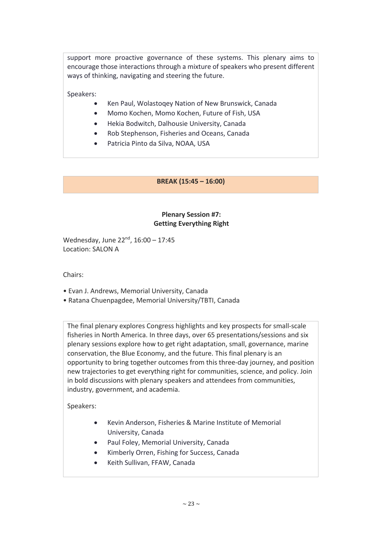support more proactive governance of these systems. This plenary aims to encourage those interactions through a mixture of speakers who present different ways of thinking, navigating and steering the future.

Speakers:

- Ken Paul, Wolastoqey Nation of New Brunswick, Canada
- Momo Kochen, Momo Kochen, Future of Fish, USA
- Hekia Bodwitch, Dalhousie University, Canada
- Rob Stephenson, Fisheries and Oceans, Canada
- Patricia Pinto da Silva, NOAA, USA

# **BREAK (15:45 – 16:00)**

# **Plenary Session #7: Getting Everything Right**

Wednesday, June 22<sup>nd</sup>, 16:00 - 17:45 Location: SALON A

Chairs:

- Evan J. Andrews, Memorial University, Canada
- Ratana Chuenpagdee, Memorial University/TBTI, Canada

The final plenary explores Congress highlights and key prospects for small-scale fisheries in North America. In three days, over 65 presentations/sessions and six plenary sessions explore how to get right adaptation, small, governance, marine conservation, the Blue Economy, and the future. This final plenary is an opportunity to bring together outcomes from this three-day journey, and position new trajectories to get everything right for communities, science, and policy. Join in bold discussions with plenary speakers and attendees from communities, industry, government, and academia.

Speakers:

- Kevin Anderson, Fisheries & Marine Institute of Memorial University, Canada
- Paul Foley, Memorial University, Canada
- Kimberly Orren, Fishing for Success, Canada
- Keith Sullivan, FFAW, Canada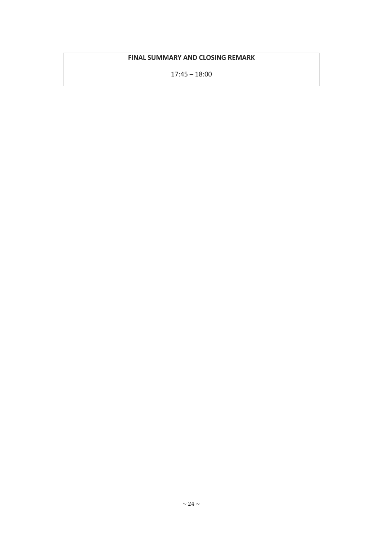# **FINAL SUMMARY AND CLOSING REMARK**

17:45 – 18:00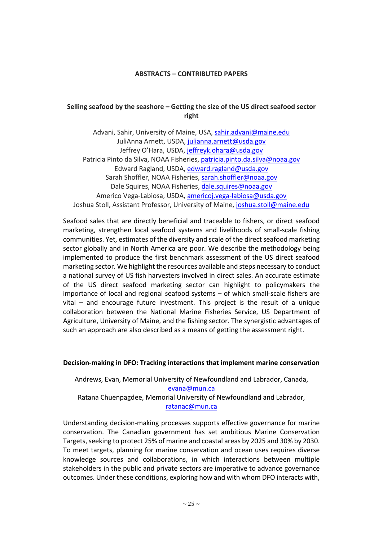#### **ABSTRACTS – CONTRIBUTED PAPERS**

#### **Selling seafood by the seashore – Getting the size of the US direct seafood sector right**

Advani, Sahir, University of Maine, USA, sahir.advani@maine.edu JuliAnna Arnett, USDA, julianna.arnett@usda.gov Jeffrey O'Hara, USDA, jeffreyk.ohara@usda.gov Patricia Pinto da Silva, NOAA Fisheries, patricia.pinto.da.silva@noaa.gov Edward Ragland, USDA, edward.ragland@usda.gov Sarah Shoffler, NOAA Fisheries, sarah.shoffler@noaa.gov Dale Squires, NOAA Fisheries, dale.squires@noaa.gov Americo Vega-Labiosa, USDA, americoj.vega-labiosa@usda.gov Joshua Stoll, Assistant Professor, University of Maine, joshua.stoll@maine.edu

Seafood sales that are directly beneficial and traceable to fishers, or direct seafood marketing, strengthen local seafood systems and livelihoods of small-scale fishing communities. Yet, estimates of the diversity and scale of the direct seafood marketing sector globally and in North America are poor. We describe the methodology being implemented to produce the first benchmark assessment of the US direct seafood marketing sector. We highlight the resources available and steps necessary to conduct a national survey of US fish harvesters involved in direct sales. An accurate estimate of the US direct seafood marketing sector can highlight to policymakers the importance of local and regional seafood systems – of which small-scale fishers are vital – and encourage future investment. This project is the result of a unique collaboration between the National Marine Fisheries Service, US Department of Agriculture, University of Maine, and the fishing sector. The synergistic advantages of such an approach are also described as a means of getting the assessment right.

#### **Decision-making in DFO: Tracking interactions that implement marine conservation**

Andrews, Evan, Memorial University of Newfoundland and Labrador, Canada, evana@mun.ca Ratana Chuenpagdee, Memorial University of Newfoundland and Labrador, ratanac@mun.ca

Understanding decision-making processes supports effective governance for marine conservation. The Canadian government has set ambitious Marine Conservation Targets, seeking to protect 25% of marine and coastal areas by 2025 and 30% by 2030. To meet targets, planning for marine conservation and ocean uses requires diverse knowledge sources and collaborations, in which interactions between multiple stakeholders in the public and private sectors are imperative to advance governance outcomes. Under these conditions, exploring how and with whom DFO interacts with,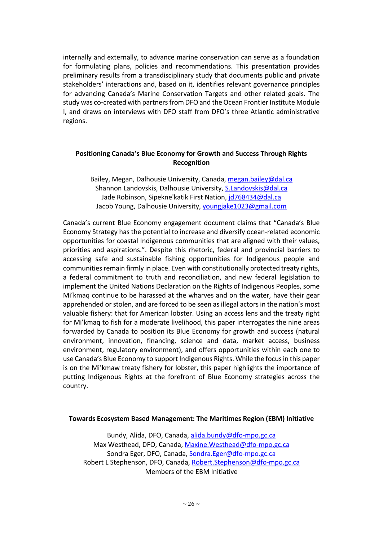internally and externally, to advance marine conservation can serve as a foundation for formulating plans, policies and recommendations. This presentation provides preliminary results from a transdisciplinary study that documents public and private stakeholders' interactions and, based on it, identifies relevant governance principles for advancing Canada's Marine Conservation Targets and other related goals. The study was co-created with partners from DFO and the Ocean Frontier Institute Module I, and draws on interviews with DFO staff from DFO's three Atlantic administrative regions.

# **Positioning Canada's Blue Economy for Growth and Success Through Rights Recognition**

Bailey, Megan, Dalhousie University, Canada, megan.bailey@dal.ca Shannon Landovskis, Dalhousie University, S.Landovskis@dal.ca Jade Robinson, Sipekne'katik First Nation, jd768434@dal.ca Jacob Young, Dalhousie University, youngjake1023@gmail.com

Canada's current Blue Economy engagement document claims that "Canada's Blue Economy Strategy has the potential to increase and diversify ocean-related economic opportunities for coastal Indigenous communities that are aligned with their values, priorities and aspirations.". Despite this rhetoric, federal and provincial barriers to accessing safe and sustainable fishing opportunities for Indigenous people and communities remain firmly in place. Even with constitutionally protected treaty rights, a federal commitment to truth and reconciliation, and new federal legislation to implement the United Nations Declaration on the Rights of Indigenous Peoples, some Mi'kmaq continue to be harassed at the wharves and on the water, have their gear apprehended or stolen, and are forced to be seen as illegal actors in the nation's most valuable fishery: that for American lobster. Using an access lens and the treaty right for Mi'kmaq to fish for a moderate livelihood, this paper interrogates the nine areas forwarded by Canada to position its Blue Economy for growth and success (natural environment, innovation, financing, science and data, market access, business environment, regulatory environment), and offers opportunities within each one to use Canada's Blue Economy to support Indigenous Rights. While the focus in this paper is on the Mi'kmaw treaty fishery for lobster, this paper highlights the importance of putting Indigenous Rights at the forefront of Blue Economy strategies across the country.

#### **Towards Ecosystem Based Management: The Maritimes Region (EBM) Initiative**

Bundy, Alida, DFO, Canada, alida.bundy@dfo-mpo.gc.ca Max Westhead, DFO, Canada, Maxine.Westhead@dfo-mpo.gc.ca Sondra Eger, DFO, Canada, Sondra.Eger@dfo-mpo.gc.ca Robert L Stephenson, DFO, Canada, Robert.Stephenson@dfo-mpo.gc.ca Members of the EBM Initiative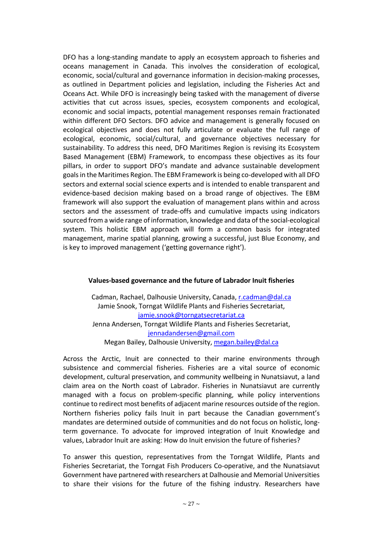DFO has a long-standing mandate to apply an ecosystem approach to fisheries and oceans management in Canada. This involves the consideration of ecological, economic, social/cultural and governance information in decision-making processes, as outlined in Department policies and legislation, including the Fisheries Act and Oceans Act. While DFO is increasingly being tasked with the management of diverse activities that cut across issues, species, ecosystem components and ecological, economic and social impacts, potential management responses remain fractionated within different DFO Sectors. DFO advice and management is generally focused on ecological objectives and does not fully articulate or evaluate the full range of ecological, economic, social/cultural, and governance objectives necessary for sustainability. To address this need, DFO Maritimes Region is revising its Ecosystem Based Management (EBM) Framework, to encompass these objectives as its four pillars, in order to support DFO's mandate and advance sustainable development goals in the Maritimes Region. The EBM Framework is being co-developed with all DFO sectors and external social science experts and is intended to enable transparent and evidence-based decision making based on a broad range of objectives. The EBM framework will also support the evaluation of management plans within and across sectors and the assessment of trade-offs and cumulative impacts using indicators sourced from a wide range of information, knowledge and data of the social-ecological system. This holistic EBM approach will form a common basis for integrated management, marine spatial planning, growing a successful, just Blue Economy, and is key to improved management ('getting governance right').

#### **Values-based governance and the future of Labrador Inuit fisheries**

Cadman, Rachael, Dalhousie University, Canada, r.cadman@dal.ca Jamie Snook, Torngat Wildlife Plants and Fisheries Secretariat, jamie.snook@torngatsecretariat.ca Jenna Andersen, Torngat Wildlife Plants and Fisheries Secretariat, jennadandersen@gmail.com Megan Bailey, Dalhousie University, megan.bailey@dal.ca

Across the Arctic, Inuit are connected to their marine environments through subsistence and commercial fisheries. Fisheries are a vital source of economic development, cultural preservation, and community wellbeing in Nunatsiavut, a land claim area on the North coast of Labrador. Fisheries in Nunatsiavut are currently managed with a focus on problem-specific planning, while policy interventions continue to redirect most benefits of adjacent marine resources outside of the region. Northern fisheries policy fails Inuit in part because the Canadian government's mandates are determined outside of communities and do not focus on holistic, longterm governance. To advocate for improved integration of Inuit Knowledge and values, Labrador Inuit are asking: How do Inuit envision the future of fisheries?

To answer this question, representatives from the Torngat Wildlife, Plants and Fisheries Secretariat, the Torngat Fish Producers Co-operative, and the Nunatsiavut Government have partnered with researchers at Dalhousie and Memorial Universities to share their visions for the future of the fishing industry. Researchers have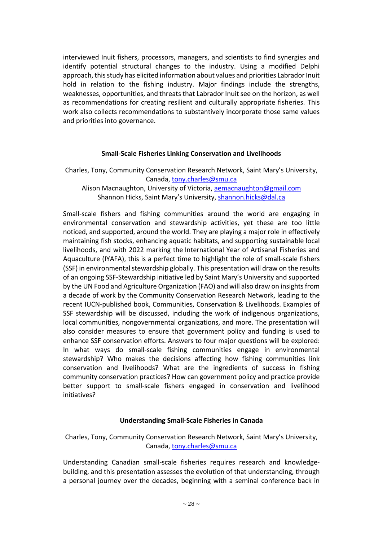interviewed Inuit fishers, processors, managers, and scientists to find synergies and identify potential structural changes to the industry. Using a modified Delphi approach, this study has elicited information about values and priorities Labrador Inuit hold in relation to the fishing industry. Major findings include the strengths, weaknesses, opportunities, and threats that Labrador Inuit see on the horizon, as well as recommendations for creating resilient and culturally appropriate fisheries. This work also collects recommendations to substantively incorporate those same values and priorities into governance.

#### **Small-Scale Fisheries Linking Conservation and Livelihoods**

Charles, Tony, Community Conservation Research Network, Saint Mary's University, Canada, tony.charles@smu.ca

Alison Macnaughton, University of Victoria, aemacnaughton@gmail.com Shannon Hicks, Saint Mary's University, shannon.hicks@dal.ca

Small-scale fishers and fishing communities around the world are engaging in environmental conservation and stewardship activities, yet these are too little noticed, and supported, around the world. They are playing a major role in effectively maintaining fish stocks, enhancing aquatic habitats, and supporting sustainable local livelihoods, and with 2022 marking the International Year of Artisanal Fisheries and Aquaculture (IYAFA), this is a perfect time to highlight the role of small-scale fishers (SSF) in environmental stewardship globally. This presentation will draw on the results of an ongoing SSF-Stewardship initiative led by Saint Mary's University and supported by the UN Food and Agriculture Organization (FAO) and will also draw on insights from a decade of work by the Community Conservation Research Network, leading to the recent IUCN-published book, Communities, Conservation & Livelihoods. Examples of SSF stewardship will be discussed, including the work of indigenous organizations, local communities, nongovernmental organizations, and more. The presentation will also consider measures to ensure that government policy and funding is used to enhance SSF conservation efforts. Answers to four major questions will be explored: In what ways do small-scale fishing communities engage in environmental stewardship? Who makes the decisions affecting how fishing communities link conservation and livelihoods? What are the ingredients of success in fishing community conservation practices? How can government policy and practice provide better support to small-scale fishers engaged in conservation and livelihood initiatives?

#### **Understanding Small-Scale Fisheries in Canada**

Charles, Tony, Community Conservation Research Network, Saint Mary's University, Canada, tony.charles@smu.ca

Understanding Canadian small-scale fisheries requires research and knowledgebuilding, and this presentation assesses the evolution of that understanding, through a personal journey over the decades, beginning with a seminal conference back in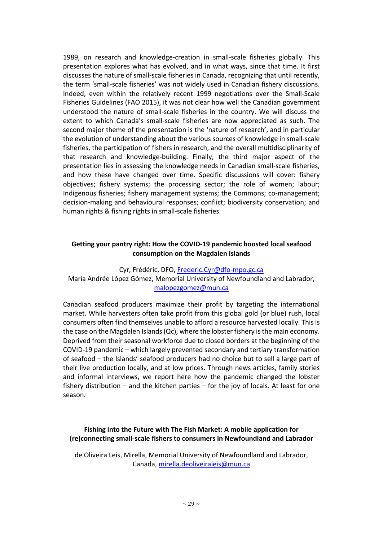1989, on research and knowledge-creation in small-scale fisheries globally. This presentation explores what has evolved, and in what ways, since that time. It first discusses the nature of small-scale fisheries in Canada, recognizing that until recently, the term 'small-scale fisheries' was not widely used in Canadian fishery discussions. Indeed, even within the relatively recent 1999 negotiations over the Small-Scale Fisheries Guidelines (FAO 2015), it was not clear how well the Canadian government understood the nature of small-scale fisheries in the country. We will discuss the extent to which Canada's small-scale fisheries are now appreciated as such. The second major theme of the presentation is the 'nature of research', and in particular the evolution of understanding about the various sources of knowledge in small-scale fisheries, the participation of fishers in research, and the overall multidisciplinarity of that research and knowledge-building. Finally, the third major aspect of the presentation lies in assessing the knowledge needs in Canadian small-scale fisheries, and how these have changed over time. Specific discussions will cover: fishery objectives; fishery systems; the processing sector; the role of women; labour; Indigenous fisheries; fishery management systems; the Commons; co-management; decision-making and behavioural responses; conflict; biodiversity conservation; and human rights & fishing rights in small-scale fisheries.

# **Getting your pantry right: How the COVID-19 pandemic boosted local seafood consumption on the Magdalen Islands**

# Cyr, Frédéric, DFO, Frederic.Cyr@dfo-mpo.gc.ca María Andrée López Gómez, Memorial University of Newfoundland and Labrador, malopezgomez@mun.ca

Canadian seafood producers maximize their profit by targeting the international market. While harvesters often take profit from this global gold (or blue) rush, local consumers often find themselves unable to afford a resource harvested locally. This is the case on the Magdalen Islands (Qc), where the lobster fishery is the main economy. Deprived from their seasonal workforce due to closed borders at the beginning of the COVID-19 pandemic – which largely prevented secondary and tertiary transformation of seafood – the Islands' seafood producers had no choice but to sell a large part of their live production locally, and at low prices. Through news articles, family stories and informal interviews, we report here how the pandemic changed the lobster fishery distribution – and the kitchen parties – for the joy of locals. At least for one season.

# **Fishing into the Future with The Fish Market: A mobile application for (re)connecting small-scale fishers to consumers in Newfoundland and Labrador**

de Oliveira Leis, Mirella, Memorial University of Newfoundland and Labrador, Canada, mirella.deoliveiraleis@mun.ca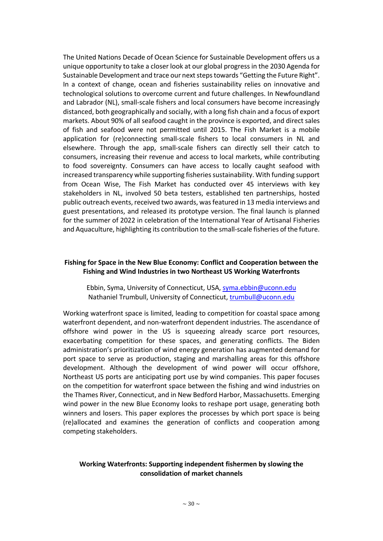The United Nations Decade of Ocean Science for Sustainable Development offers us a unique opportunity to take a closer look at our global progress in the 2030 Agenda for Sustainable Development and trace our next steps towards "Getting the Future Right". In a context of change, ocean and fisheries sustainability relies on innovative and technological solutions to overcome current and future challenges. In Newfoundland and Labrador (NL), small-scale fishers and local consumers have become increasingly distanced, both geographically and socially, with a long fish chain and a focus of export markets. About 90% of all seafood caught in the province is exported, and direct sales of fish and seafood were not permitted until 2015. The Fish Market is a mobile application for (re)connecting small-scale fishers to local consumers in NL and elsewhere. Through the app, small-scale fishers can directly sell their catch to consumers, increasing their revenue and access to local markets, while contributing to food sovereignty. Consumers can have access to locally caught seafood with increased transparency while supporting fisheries sustainability. With funding support from Ocean Wise, The Fish Market has conducted over 45 interviews with key stakeholders in NL, involved 50 beta testers, established ten partnerships, hosted public outreach events, received two awards, was featured in 13 media interviews and guest presentations, and released its prototype version. The final launch is planned for the summer of 2022 in celebration of the International Year of Artisanal Fisheries and Aquaculture, highlighting its contribution to the small-scale fisheries of the future.

#### **Fishing for Space in the New Blue Economy: Conflict and Cooperation between the Fishing and Wind Industries in two Northeast US Working Waterfronts**

Ebbin, Syma, University of Connecticut, USA, syma.ebbin@uconn.edu Nathaniel Trumbull, University of Connecticut, trumbull@uconn.edu

Working waterfront space is limited, leading to competition for coastal space among waterfront dependent, and non-waterfront dependent industries. The ascendance of offshore wind power in the US is squeezing already scarce port resources, exacerbating competition for these spaces, and generating conflicts. The Biden administration's prioritization of wind energy generation has augmented demand for port space to serve as production, staging and marshalling areas for this offshore development. Although the development of wind power will occur offshore, Northeast US ports are anticipating port use by wind companies. This paper focuses on the competition for waterfront space between the fishing and wind industries on the Thames River, Connecticut, and in New Bedford Harbor, Massachusetts. Emerging wind power in the new Blue Economy looks to reshape port usage, generating both winners and losers. This paper explores the processes by which port space is being (re)allocated and examines the generation of conflicts and cooperation among competing stakeholders.

# **Working Waterfronts: Supporting independent fishermen by slowing the consolidation of market channels**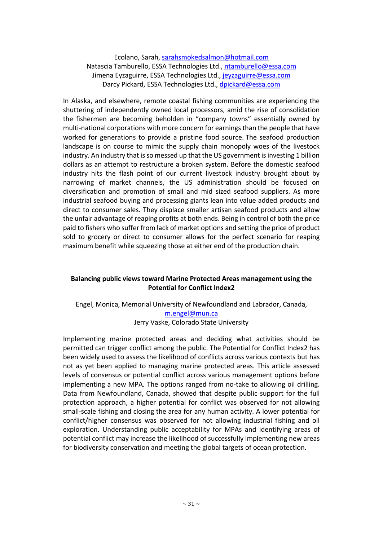Ecolano, Sarah, sarahsmokedsalmon@hotmail.com Natascia Tamburello, ESSA Technologies Ltd., ntamburello@essa.com Jimena Eyzaguirre, ESSA Technologies Ltd., jeyzaguirre@essa.com Darcy Pickard, ESSA Technologies Ltd., dpickard@essa.com

In Alaska, and elsewhere, remote coastal fishing communities are experiencing the shuttering of independently owned local processors, amid the rise of consolidation the fishermen are becoming beholden in "company towns" essentially owned by multi-national corporations with more concern for earnings than the people that have worked for generations to provide a pristine food source. The seafood production landscape is on course to mimic the supply chain monopoly woes of the livestock industry. An industry that is so messed up that the US government is investing 1 billion dollars as an attempt to restructure a broken system. Before the domestic seafood industry hits the flash point of our current livestock industry brought about by narrowing of market channels, the US administration should be focused on diversification and promotion of small and mid sized seafood suppliers. As more industrial seafood buying and processing giants lean into value added products and direct to consumer sales. They displace smaller artisan seafood products and allow the unfair advantage of reaping profits at both ends. Being in control of both the price paid to fishers who suffer from lack of market options and setting the price of product sold to grocery or direct to consumer allows for the perfect scenario for reaping maximum benefit while squeezing those at either end of the production chain.

# **Balancing public views toward Marine Protected Areas management using the Potential for Conflict Index2**

# Engel, Monica, Memorial University of Newfoundland and Labrador, Canada, m.engel@mun.ca

Jerry Vaske, Colorado State University

Implementing marine protected areas and deciding what activities should be permitted can trigger conflict among the public. The Potential for Conflict Index2 has been widely used to assess the likelihood of conflicts across various contexts but has not as yet been applied to managing marine protected areas. This article assessed levels of consensus or potential conflict across various management options before implementing a new MPA. The options ranged from no-take to allowing oil drilling. Data from Newfoundland, Canada, showed that despite public support for the full protection approach, a higher potential for conflict was observed for not allowing small-scale fishing and closing the area for any human activity. A lower potential for conflict/higher consensus was observed for not allowing industrial fishing and oil exploration. Understanding public acceptability for MPAs and identifying areas of potential conflict may increase the likelihood of successfully implementing new areas for biodiversity conservation and meeting the global targets of ocean protection.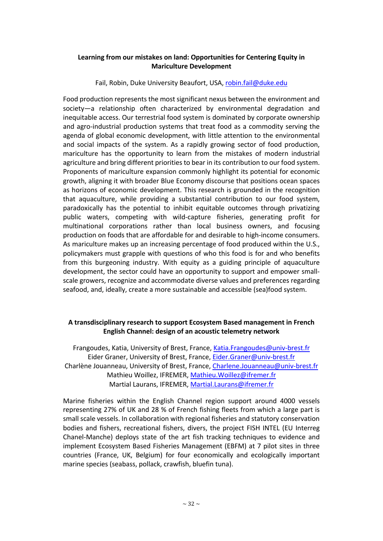# **Learning from our mistakes on land: Opportunities for Centering Equity in Mariculture Development**

Fail, Robin, Duke University Beaufort, USA, robin.fail@duke.edu

Food production represents the most significant nexus between the environment and society—a relationship often characterized by environmental degradation and inequitable access. Our terrestrial food system is dominated by corporate ownership and agro-industrial production systems that treat food as a commodity serving the agenda of global economic development, with little attention to the environmental and social impacts of the system. As a rapidly growing sector of food production, mariculture has the opportunity to learn from the mistakes of modern industrial agriculture and bring different priorities to bear in its contribution to our food system. Proponents of mariculture expansion commonly highlight its potential for economic growth, aligning it with broader Blue Economy discourse that positions ocean spaces as horizons of economic development. This research is grounded in the recognition that aquaculture, while providing a substantial contribution to our food system, paradoxically has the potential to inhibit equitable outcomes through privatizing public waters, competing with wild-capture fisheries, generating profit for multinational corporations rather than local business owners, and focusing production on foods that are affordable for and desirable to high-income consumers. As mariculture makes up an increasing percentage of food produced within the U.S., policymakers must grapple with questions of who this food is for and who benefits from this burgeoning industry. With equity as a guiding principle of aquaculture development, the sector could have an opportunity to support and empower smallscale growers, recognize and accommodate diverse values and preferences regarding seafood, and, ideally, create a more sustainable and accessible (sea)food system.

# **A transdisciplinary research to support Ecosystem Based management in French English Channel: design of an acoustic telemetry network**

Frangoudes, Katia, University of Brest, France, Katia.Frangoudes@univ-brest.fr Eider Graner, University of Brest, France, Eider.Graner@univ-brest.fr Charlène Jouanneau, University of Brest, France, Charlene.Jouanneau@univ-brest.fr Mathieu Woillez, IFREMER, Mathieu.Woillez@ifremer.fr Martial Laurans, IFREMER, Martial.Laurans@ifremer.fr

Marine fisheries within the English Channel region support around 4000 vessels representing 27% of UK and 28 % of French fishing fleets from which a large part is small scale vessels. In collaboration with regional fisheries and statutory conservation bodies and fishers, recreational fishers, divers, the project FISH INTEL (EU Interreg Chanel-Manche) deploys state of the art fish tracking techniques to evidence and implement Ecosystem Based Fisheries Management (EBFM) at 7 pilot sites in three countries (France, UK, Belgium) for four economically and ecologically important marine species (seabass, pollack, crawfish, bluefin tuna).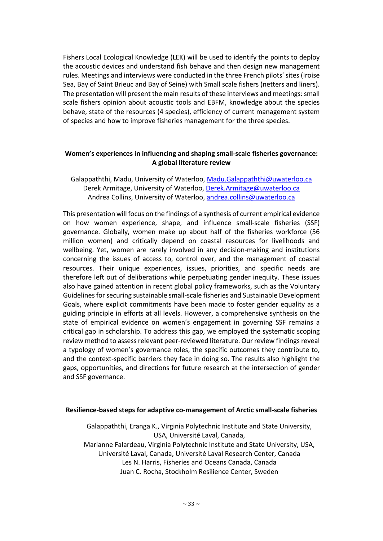Fishers Local Ecological Knowledge (LEK) will be used to identify the points to deploy the acoustic devices and understand fish behave and then design new management rules. Meetings and interviews were conducted in the three French pilots' sites (Iroise Sea, Bay of Saint Brieuc and Bay of Seine) with Small scale fishers (netters and liners). The presentation will present the main results of these interviews and meetings: small scale fishers opinion about acoustic tools and EBFM, knowledge about the species behave, state of the resources (4 species), efficiency of current management system of species and how to improve fisheries management for the three species.

# **Women's experiences in influencing and shaping small-scale fisheries governance: A global literature review**

Galappaththi, Madu, University of Waterloo, Madu.Galappaththi@uwaterloo.ca Derek Armitage, University of Waterloo, Derek.Armitage@uwaterloo.ca Andrea Collins, University of Waterloo, andrea.collins@uwaterloo.ca

This presentation will focus on the findings of a synthesis of current empirical evidence on how women experience, shape, and influence small-scale fisheries (SSF) governance. Globally, women make up about half of the fisheries workforce (56 million women) and critically depend on coastal resources for livelihoods and wellbeing. Yet, women are rarely involved in any decision-making and institutions concerning the issues of access to, control over, and the management of coastal resources. Their unique experiences, issues, priorities, and specific needs are therefore left out of deliberations while perpetuating gender inequity. These issues also have gained attention in recent global policy frameworks, such as the Voluntary Guidelines for securing sustainable small-scale fisheries and Sustainable Development Goals, where explicit commitments have been made to foster gender equality as a guiding principle in efforts at all levels. However, a comprehensive synthesis on the state of empirical evidence on women's engagement in governing SSF remains a critical gap in scholarship. To address this gap, we employed the systematic scoping review method to assess relevant peer-reviewed literature. Our review findings reveal a typology of women's governance roles, the specific outcomes they contribute to, and the context-specific barriers they face in doing so. The results also highlight the gaps, opportunities, and directions for future research at the intersection of gender and SSF governance.

#### **Resilience-based steps for adaptive co-management of Arctic small-scale fisheries**

Galappaththi, Eranga K., Virginia Polytechnic Institute and State University, USA, Université Laval, Canada, Marianne Falardeau, Virginia Polytechnic Institute and State University, USA, Université Laval, Canada, Université Laval Research Center, Canada Les N. Harris, Fisheries and Oceans Canada, Canada Juan C. Rocha, Stockholm Resilience Center, Sweden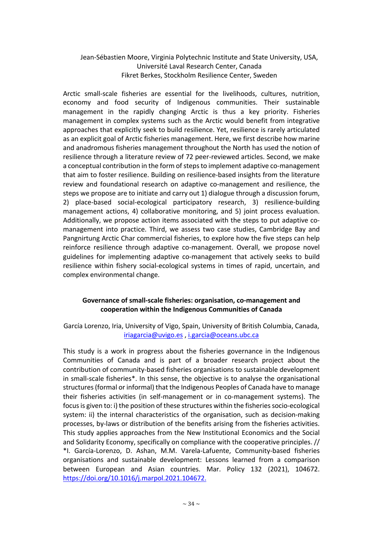# Jean-Sébastien Moore, Virginia Polytechnic Institute and State University, USA, Université Laval Research Center, Canada Fikret Berkes, Stockholm Resilience Center, Sweden

Arctic small-scale fisheries are essential for the livelihoods, cultures, nutrition, economy and food security of Indigenous communities. Their sustainable management in the rapidly changing Arctic is thus a key priority. Fisheries management in complex systems such as the Arctic would benefit from integrative approaches that explicitly seek to build resilience. Yet, resilience is rarely articulated as an explicit goal of Arctic fisheries management. Here, we first describe how marine and anadromous fisheries management throughout the North has used the notion of resilience through a literature review of 72 peer-reviewed articles. Second, we make a conceptual contribution in the form of steps to implement adaptive co-management that aim to foster resilience. Building on resilience-based insights from the literature review and foundational research on adaptive co-management and resilience, the steps we propose are to initiate and carry out 1) dialogue through a discussion forum, 2) place-based social-ecological participatory research, 3) resilience-building management actions, 4) collaborative monitoring, and 5) joint process evaluation. Additionally, we propose action items associated with the steps to put adaptive comanagement into practice. Third, we assess two case studies, Cambridge Bay and Pangnirtung Arctic Char commercial fisheries, to explore how the five steps can help reinforce resilience through adaptive co-management. Overall, we propose novel guidelines for implementing adaptive co-management that actively seeks to build resilience within fishery social-ecological systems in times of rapid, uncertain, and complex environmental change.

# **Governance of small-scale fisheries: organisation, co-management and cooperation within the Indigenous Communities of Canada**

García Lorenzo, Iria, University of Vigo, Spain, University of British Columbia, Canada, iriagarcia@uvigo.es , i.garcia@oceans.ubc.ca

This study is a work in progress about the fisheries governance in the Indigenous Communities of Canada and is part of a broader research project about the contribution of community-based fisheries organisations to sustainable development in small-scale fisheries\*. In this sense, the objective is to analyse the organisational structures (formal or informal) that the Indigenous Peoples of Canada have to manage their fisheries activities (in self-management or in co-management systems). The focus is given to: i) the position of these structures within the fisheries socio-ecological system: ii) the internal characteristics of the organisation, such as decision-making processes, by-laws or distribution of the benefits arising from the fisheries activities. This study applies approaches from the New Institutional Economics and the Social and Solidarity Economy, specifically on compliance with the cooperative principles. // \*I. García-Lorenzo, D. Ashan, M.M. Varela-Lafuente, Community-based fisheries organisations and sustainable development: Lessons learned from a comparison between European and Asian countries. Mar. Policy 132 (2021), 104672. https://doi.org/10.1016/j.marpol.2021.104672.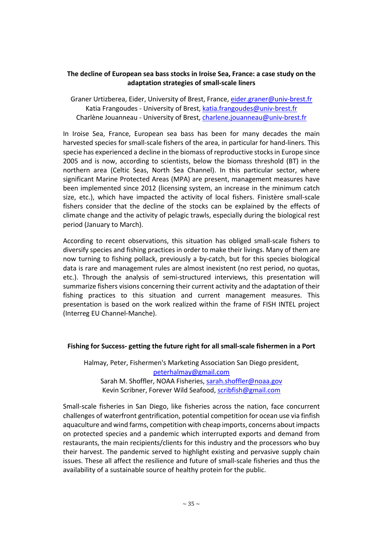### **The decline of European sea bass stocks in Iroise Sea, France: a case study on the adaptation strategies of small-scale liners**

Graner Urtizberea, Eider, University of Brest, France, eider.graner@univ-brest.fr Katia Frangoudes - University of Brest, katia.frangoudes@univ-brest.fr Charlène Jouanneau - University of Brest, charlene.jouanneau@univ-brest.fr

In Iroise Sea, France, European sea bass has been for many decades the main harvested species for small-scale fishers of the area, in particular for hand-liners. This specie has experienced a decline in the biomass of reproductive stocks in Europe since 2005 and is now, according to scientists, below the biomass threshold (BT) in the northern area (Celtic Seas, North Sea Channel). In this particular sector, where significant Marine Protected Areas (MPA) are present, management measures have been implemented since 2012 (licensing system, an increase in the minimum catch size, etc.), which have impacted the activity of local fishers. Finistère small-scale fishers consider that the decline of the stocks can be explained by the effects of climate change and the activity of pelagic trawls, especially during the biological rest period (January to March).

According to recent observations, this situation has obliged small-scale fishers to diversify species and fishing practices in order to make their livings. Many of them are now turning to fishing pollack, previously a by-catch, but for this species biological data is rare and management rules are almost inexistent (no rest period, no quotas, etc.). Through the analysis of semi-structured interviews, this presentation will summarize fishers visions concerning their current activity and the adaptation of their fishing practices to this situation and current management measures. This presentation is based on the work realized within the frame of FISH INTEL project (Interreg EU Channel-Manche).

#### **Fishing for Success- getting the future right for all small-scale fishermen in a Port**

Halmay, Peter, Fishermen's Marketing Association San Diego president, peterhalmay@gmail.com Sarah M. Shoffler, NOAA Fisheries, sarah.shoffler@noaa.gov Kevin Scribner, Forever Wild Seafood, scribfish@gmail.com

Small-scale fisheries in San Diego, like fisheries across the nation, face concurrent challenges of waterfront gentrification, potential competition for ocean use via finfish aquaculture and wind farms, competition with cheap imports, concerns about impacts on protected species and a pandemic which interrupted exports and demand from restaurants, the main recipients/clients for this industry and the processors who buy their harvest. The pandemic served to highlight existing and pervasive supply chain issues. These all affect the resilience and future of small-scale fisheries and thus the availability of a sustainable source of healthy protein for the public.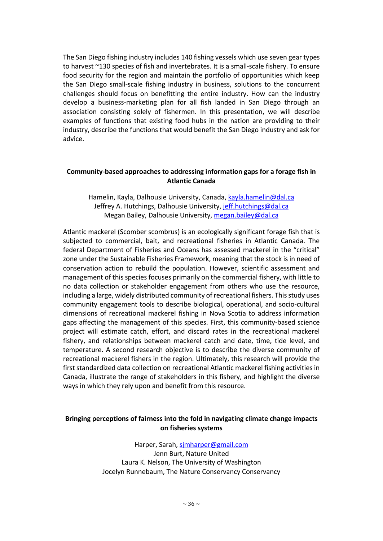The San Diego fishing industry includes 140 fishing vessels which use seven gear types to harvest ~130 species of fish and invertebrates. It is a small-scale fishery. To ensure food security for the region and maintain the portfolio of opportunities which keep the San Diego small-scale fishing industry in business, solutions to the concurrent challenges should focus on benefitting the entire industry. How can the industry develop a business-marketing plan for all fish landed in San Diego through an association consisting solely of fishermen. In this presentation, we will describe examples of functions that existing food hubs in the nation are providing to their industry, describe the functions that would benefit the San Diego industry and ask for advice.

#### **Community-based approaches to addressing information gaps for a forage fish in Atlantic Canada**

Hamelin, Kayla, Dalhousie University, Canada, kayla.hamelin@dal.ca Jeffrey A. Hutchings, Dalhousie University, jeff.hutchings@dal.ca Megan Bailey, Dalhousie University, megan.bailey@dal.ca

Atlantic mackerel (Scomber scombrus) is an ecologically significant forage fish that is subjected to commercial, bait, and recreational fisheries in Atlantic Canada. The federal Department of Fisheries and Oceans has assessed mackerel in the "critical" zone under the Sustainable Fisheries Framework, meaning that the stock is in need of conservation action to rebuild the population. However, scientific assessment and management of this species focuses primarily on the commercial fishery, with little to no data collection or stakeholder engagement from others who use the resource, including a large, widely distributed community of recreational fishers. This study uses community engagement tools to describe biological, operational, and socio-cultural dimensions of recreational mackerel fishing in Nova Scotia to address information gaps affecting the management of this species. First, this community-based science project will estimate catch, effort, and discard rates in the recreational mackerel fishery, and relationships between mackerel catch and date, time, tide level, and temperature. A second research objective is to describe the diverse community of recreational mackerel fishers in the region. Ultimately, this research will provide the first standardized data collection on recreational Atlantic mackerel fishing activities in Canada, illustrate the range of stakeholders in this fishery, and highlight the diverse ways in which they rely upon and benefit from this resource.

#### **Bringing perceptions of fairness into the fold in navigating climate change impacts on fisheries systems**

Harper, Sarah, sjmharper@gmail.com Jenn Burt, Nature United Laura K. Nelson, The University of Washington Jocelyn Runnebaum, The Nature Conservancy Conservancy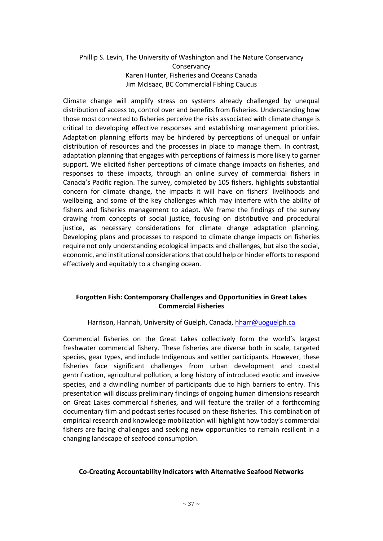# Phillip S. Levin, The University of Washington and The Nature Conservancy **Conservancy** Karen Hunter, Fisheries and Oceans Canada Jim McIsaac, BC Commercial Fishing Caucus

Climate change will amplify stress on systems already challenged by unequal distribution of access to, control over and benefits from fisheries. Understanding how those most connected to fisheries perceive the risks associated with climate change is critical to developing effective responses and establishing management priorities. Adaptation planning efforts may be hindered by perceptions of unequal or unfair distribution of resources and the processes in place to manage them. In contrast, adaptation planning that engages with perceptions of fairness is more likely to garner support. We elicited fisher perceptions of climate change impacts on fisheries, and responses to these impacts, through an online survey of commercial fishers in Canada's Pacific region. The survey, completed by 105 fishers, highlights substantial concern for climate change, the impacts it will have on fishers' livelihoods and wellbeing, and some of the key challenges which may interfere with the ability of fishers and fisheries management to adapt. We frame the findings of the survey drawing from concepts of social justice, focusing on distributive and procedural justice, as necessary considerations for climate change adaptation planning. Developing plans and processes to respond to climate change impacts on fisheries require not only understanding ecological impacts and challenges, but also the social, economic, and institutional considerations that could help or hinder efforts to respond effectively and equitably to a changing ocean.

# **Forgotten Fish: Contemporary Challenges and Opportunities in Great Lakes Commercial Fisheries**

Harrison, Hannah, University of Guelph, Canada, hharr@uoguelph.ca

Commercial fisheries on the Great Lakes collectively form the world's largest freshwater commercial fishery. These fisheries are diverse both in scale, targeted species, gear types, and include Indigenous and settler participants. However, these fisheries face significant challenges from urban development and coastal gentrification, agricultural pollution, a long history of introduced exotic and invasive species, and a dwindling number of participants due to high barriers to entry. This presentation will discuss preliminary findings of ongoing human dimensions research on Great Lakes commercial fisheries, and will feature the trailer of a forthcoming documentary film and podcast series focused on these fisheries. This combination of empirical research and knowledge mobilization will highlight how today's commercial fishers are facing challenges and seeking new opportunities to remain resilient in a changing landscape of seafood consumption.

#### **Co-Creating Accountability Indicators with Alternative Seafood Networks**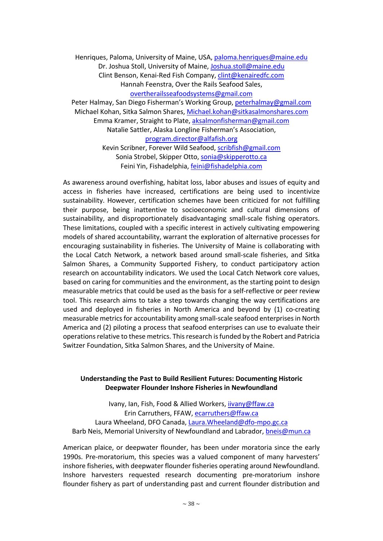Henriques, Paloma, University of Maine, USA, paloma.henriques@maine.edu Dr. Joshua Stoll, University of Maine, Joshua.stoll@maine.edu Clint Benson, Kenai-Red Fish Company, clint@kenairedfc.com Hannah Feenstra, Over the Rails Seafood Sales, overtherailsseafoodsystems@gmail.com

Peter Halmay, San Diego Fisherman's Working Group, peterhalmay@gmail.com Michael Kohan, Sitka Salmon Shares, Michael.kohan@sitkasalmonshares.com Emma Kramer, Straight to Plate, aksalmonfisherman@gmail.com Natalie Sattler, Alaska Longline Fisherman's Association, program.director@alfafish.org Kevin Scribner, Forever Wild Seafood, scribfish@gmail.com

Sonia Strobel, Skipper Otto, sonia@skipperotto.ca Feini Yin, Fishadelphia, feini@fishadelphia.com

As awareness around overfishing, habitat loss, labor abuses and issues of equity and access in fisheries have increased, certifications are being used to incentivize sustainability. However, certification schemes have been criticized for not fulfilling their purpose, being inattentive to socioeconomic and cultural dimensions of sustainability, and disproportionately disadvantaging small-scale fishing operators. These limitations, coupled with a specific interest in actively cultivating empowering models of shared accountability, warrant the exploration of alternative processes for encouraging sustainability in fisheries. The University of Maine is collaborating with the Local Catch Network, a network based around small-scale fisheries, and Sitka Salmon Shares, a Community Supported Fishery, to conduct participatory action research on accountability indicators. We used the Local Catch Network core values, based on caring for communities and the environment, as the starting point to design measurable metrics that could be used as the basis for a self-reflective or peer review tool. This research aims to take a step towards changing the way certifications are used and deployed in fisheries in North America and beyond by (1) co-creating measurable metrics for accountability among small-scale seafood enterprises in North America and (2) piloting a process that seafood enterprises can use to evaluate their operations relative to these metrics. This research is funded by the Robert and Patricia Switzer Foundation, Sitka Salmon Shares, and the University of Maine.

# **Understanding the Past to Build Resilient Futures: Documenting Historic Deepwater Flounder Inshore Fisheries in Newfoundland**

Ivany, Ian, Fish, Food & Allied Workers, *iivany@ffaw.ca* Erin Carruthers, FFAW, ecarruthers@ffaw.ca Laura Wheeland, DFO Canada, Laura.Wheeland@dfo-mpo.gc.ca Barb Neis, Memorial University of Newfoundland and Labrador, bneis@mun.ca

American plaice, or deepwater flounder, has been under moratoria since the early 1990s. Pre-moratorium, this species was a valued component of many harvesters' inshore fisheries, with deepwater flounder fisheries operating around Newfoundland. Inshore harvesters requested research documenting pre-moratorium inshore flounder fishery as part of understanding past and current flounder distribution and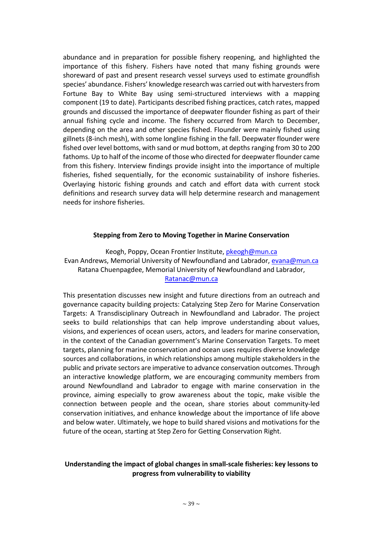abundance and in preparation for possible fishery reopening, and highlighted the importance of this fishery. Fishers have noted that many fishing grounds were shoreward of past and present research vessel surveys used to estimate groundfish species' abundance. Fishers' knowledge research was carried out with harvesters from Fortune Bay to White Bay using semi-structured interviews with a mapping component (19 to date). Participants described fishing practices, catch rates, mapped grounds and discussed the importance of deepwater flounder fishing as part of their annual fishing cycle and income. The fishery occurred from March to December, depending on the area and other species fished. Flounder were mainly fished using gillnets (8-inch mesh), with some longline fishing in the fall. Deepwater flounder were fished over level bottoms, with sand or mud bottom, at depths ranging from 30 to 200 fathoms. Up to half of the income of those who directed for deepwater flounder came from this fishery. Interview findings provide insight into the importance of multiple fisheries, fished sequentially, for the economic sustainability of inshore fisheries. Overlaying historic fishing grounds and catch and effort data with current stock definitions and research survey data will help determine research and management needs for inshore fisheries.

#### **Stepping from Zero to Moving Together in Marine Conservation**

Keogh, Poppy, Ocean Frontier Institute, *pkeogh@mun.ca* Evan Andrews, Memorial University of Newfoundland and Labrador, evana@mun.ca Ratana Chuenpagdee, Memorial University of Newfoundland and Labrador, Ratanac@mun.ca

This presentation discusses new insight and future directions from an outreach and governance capacity building projects: Catalyzing Step Zero for Marine Conservation Targets: A Transdisciplinary Outreach in Newfoundland and Labrador. The project seeks to build relationships that can help improve understanding about values, visions, and experiences of ocean users, actors, and leaders for marine conservation, in the context of the Canadian government's Marine Conservation Targets. To meet targets, planning for marine conservation and ocean uses requires diverse knowledge sources and collaborations, in which relationships among multiple stakeholders in the public and private sectors are imperative to advance conservation outcomes. Through an interactive knowledge platform, we are encouraging community members from around Newfoundland and Labrador to engage with marine conservation in the province, aiming especially to grow awareness about the topic, make visible the connection between people and the ocean, share stories about community-led conservation initiatives, and enhance knowledge about the importance of life above and below water. Ultimately, we hope to build shared visions and motivations for the future of the ocean, starting at Step Zero for Getting Conservation Right.

# **Understanding the impact of global changes in small-scale fisheries: key lessons to progress from vulnerability to viability**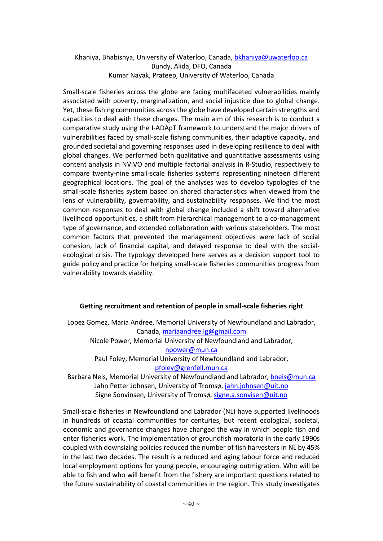# Khaniya, Bhabishya, University of Waterloo, Canada, bkhaniya@uwaterloo.ca Bundy, Alida, DFO, Canada Kumar Nayak, Prateep, University of Waterloo, Canada

Small-scale fisheries across the globe are facing multifaceted vulnerabilities mainly associated with poverty, marginalization, and social injustice due to global change. Yet, these fishing communities across the globe have developed certain strengths and capacities to deal with these changes. The main aim of this research is to conduct a comparative study using the I-ADApT framework to understand the major drivers of vulnerabilities faced by small-scale fishing communities, their adaptive capacity, and grounded societal and governing responses used in developing resilience to deal with global changes. We performed both qualitative and quantitative assessments using content analysis in NVIVO and multiple factorial analysis in R-Studio, respectively to compare twenty-nine small-scale fisheries systems representing nineteen different geographical locations. The goal of the analyses was to develop typologies of the small-scale fisheries system based on shared characteristics when viewed from the lens of vulnerability, governability, and sustainability responses. We find the most common responses to deal with global change included a shift toward alternative livelihood opportunities, a shift from hierarchical management to a co-management type of governance, and extended collaboration with various stakeholders. The most common factors that prevented the management objectives were lack of social cohesion, lack of financial capital, and delayed response to deal with the socialecological crisis. The typology developed here serves as a decision support tool to guide policy and practice for helping small-scale fisheries communities progress from vulnerability towards viability.

# **Getting recruitment and retention of people in small-scale fisheries right**

Lopez Gomez, Maria Andree, Memorial University of Newfoundland and Labrador, Canada, mariaandree.lg@gmail.com Nicole Power, Memorial University of Newfoundland and Labrador, npower@mun.ca Paul Foley, Memorial University of Newfoundland and Labrador, pfoley@grenfell.mun.ca Barbara Neis, Memorial University of Newfoundland and Labrador, bneis@mun.ca Jahn Petter Johnsen, University of Tromsø, jahn.johnsen@uit.no

Signe Sonvinsen, University of Tromsø, signe.a.sonvisen@uit.no

Small-scale fisheries in Newfoundland and Labrador (NL) have supported livelihoods in hundreds of coastal communities for centuries, but recent ecological, societal, economic and governance changes have changed the way in which people fish and enter fisheries work. The implementation of groundfish moratoria in the early 1990s coupled with downsizing policies reduced the number of fish harvesters in NL by 45% in the last two decades. The result is a reduced and aging labour force and reduced local employment options for young people, encouraging outmigration. Who will be able to fish and who will benefit from the fishery are important questions related to the future sustainability of coastal communities in the region. This study investigates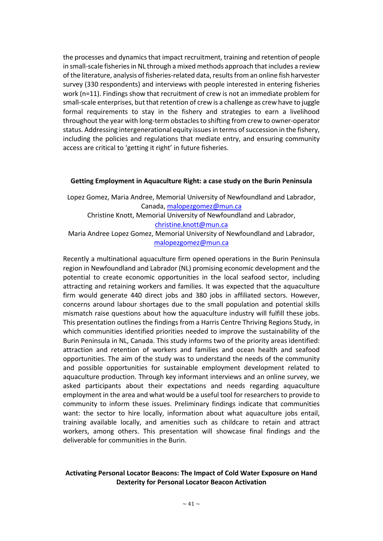the processes and dynamics that impact recruitment, training and retention of people in small-scale fisheries in NL through a mixed methods approach that includes a review of the literature, analysis of fisheries-related data, results from an online fish harvester survey (330 respondents) and interviews with people interested in entering fisheries work (n=11). Findings show that recruitment of crew is not an immediate problem for small-scale enterprises, but that retention of crew is a challenge as crew have to juggle formal requirements to stay in the fishery and strategies to earn a livelihood throughout the year with long-term obstacles to shifting from crew to owner-operator status. Addressing intergenerational equity issues in terms of succession in the fishery, including the policies and regulations that mediate entry, and ensuring community access are critical to 'getting it right' in future fisheries.

#### **Getting Employment in Aquaculture Right: a case study on the Burin Peninsula**

Lopez Gomez, Maria Andree, Memorial University of Newfoundland and Labrador, Canada, malopezgomez@mun.ca Christine Knott, Memorial University of Newfoundland and Labrador, christine.knott@mun.ca Maria Andree Lopez Gomez, Memorial University of Newfoundland and Labrador, malopezgomez@mun.ca

Recently a multinational aquaculture firm opened operations in the Burin Peninsula region in Newfoundland and Labrador (NL) promising economic development and the potential to create economic opportunities in the local seafood sector, including attracting and retaining workers and families. It was expected that the aquaculture firm would generate 440 direct jobs and 380 jobs in affiliated sectors. However, concerns around labour shortages due to the small population and potential skills mismatch raise questions about how the aquaculture industry will fulfill these jobs. This presentation outlines the findings from a Harris Centre Thriving Regions Study, in which communities identified priorities needed to improve the sustainability of the Burin Peninsula in NL, Canada. This study informs two of the priority areas identified: attraction and retention of workers and families and ocean health and seafood opportunities. The aim of the study was to understand the needs of the community and possible opportunities for sustainable employment development related to aquaculture production. Through key informant interviews and an online survey, we asked participants about their expectations and needs regarding aquaculture employment in the area and what would be a useful tool for researchers to provide to community to inform these issues. Preliminary findings indicate that communities want: the sector to hire locally, information about what aquaculture jobs entail, training available locally, and amenities such as childcare to retain and attract workers, among others. This presentation will showcase final findings and the deliverable for communities in the Burin.

# **Activating Personal Locator Beacons: The Impact of Cold Water Exposure on Hand Dexterity for Personal Locator Beacon Activation**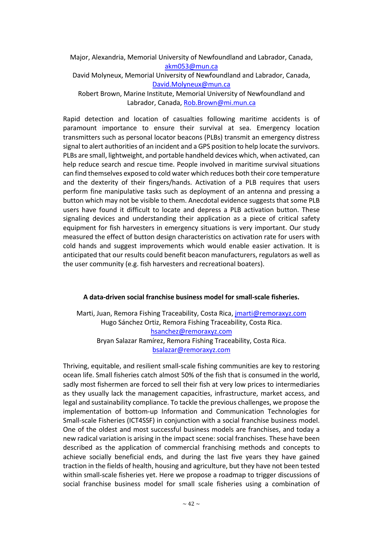Major, Alexandria, Memorial University of Newfoundland and Labrador, Canada, akm053@mun.ca

David Molyneux, Memorial University of Newfoundland and Labrador, Canada, David.Molyneux@mun.ca

Robert Brown, Marine Institute, Memorial University of Newfoundland and Labrador, Canada, Rob.Brown@mi.mun.ca

Rapid detection and location of casualties following maritime accidents is of paramount importance to ensure their survival at sea. Emergency location transmitters such as personal locator beacons (PLBs) transmit an emergency distress signal to alert authorities of an incident and a GPS position to help locate the survivors. PLBs are small, lightweight, and portable handheld devices which, when activated, can help reduce search and rescue time. People involved in maritime survival situations can find themselves exposed to cold water which reduces both their core temperature and the dexterity of their fingers/hands. Activation of a PLB requires that users perform fine manipulative tasks such as deployment of an antenna and pressing a button which may not be visible to them. Anecdotal evidence suggests that some PLB users have found it difficult to locate and depress a PLB activation button. These signaling devices and understanding their application as a piece of critical safety equipment for fish harvesters in emergency situations is very important. Our study measured the effect of button design characteristics on activation rate for users with cold hands and suggest improvements which would enable easier activation. It is anticipated that our results could benefit beacon manufacturers, regulators as well as the user community (e.g. fish harvesters and recreational boaters).

#### **A data-driven social franchise business model for small-scale fisheries.**

Marti, Juan, Remora Fishing Traceability, Costa Rica, jmarti@remoraxyz.com Hugo Sánchez Ortiz, Remora Fishing Traceability, Costa Rica. hsanchez@remoraxyz.com Bryan Salazar Ramírez, Remora Fishing Traceability, Costa Rica. bsalazar@remoraxyz.com

Thriving, equitable, and resilient small-scale fishing communities are key to restoring ocean life. Small fisheries catch almost 50% of the fish that is consumed in the world, sadly most fishermen are forced to sell their fish at very low prices to intermediaries as they usually lack the management capacities, infrastructure, market access, and legal and sustainability compliance. To tackle the previous challenges, we propose the implementation of bottom-up Information and Communication Technologies for Small-scale Fisheries (ICT4SSF) in conjunction with a social franchise business model. One of the oldest and most successful business models are franchises, and today a new radical variation is arising in the impact scene: social franchises. These have been described as the application of commercial franchising methods and concepts to achieve socially beneficial ends, and during the last five years they have gained traction in the fields of health, housing and agriculture, but they have not been tested within small-scale fisheries yet. Here we propose a roadmap to trigger discussions of social franchise business model for small scale fisheries using a combination of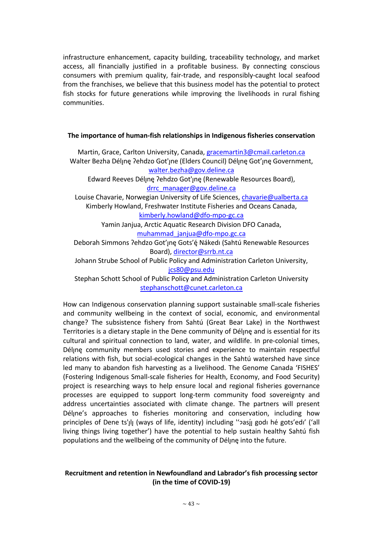infrastructure enhancement, capacity building, traceability technology, and market access, all financially justified in a profitable business. By connecting conscious consumers with premium quality, fair-trade, and responsibly-caught local seafood from the franchises, we believe that this business model has the potential to protect fish stocks for future generations while improving the livelihoods in rural fishing communities.

#### **The importance of human-fish relationships in Indigenous fisheries conservation**

Martin, Grace, Carlton University, Canada, gracemartin3@cmail.carleton.ca Walter Bezha Déljne ?ehdzo Got' ne (Elders Council) Déljne Got' ine Government, walter.bezha@gov.deline.ca Edward Reeves Déljnę ?ehdzo Got'jnę (Renewable Resources Board), drrc\_manager@gov.deline.ca Louise Chavarie, Norwegian University of Life Sciences, chavarie@ualberta.ca Kimberly Howland, Freshwater Institute Fisheries and Oceans Canada, kimberly.howland@dfo-mpo-gc.ca Yamin Janjua, Arctic Aquatic Research Division DFO Canada, muhammad\_janjua@dfo-mpo.gc.ca Deborah Simmons ?ehdzo Got'ınę Gots'é Nákedı (Sahtú Renewable Resources Board), director@srrb.nt.ca Johann Strube School of Public Policy and Administration Carleton University, jcs80@psu.edu Stephan Schott School of Public Policy and Administration Carleton University

stephanschott@cunet.carleton.ca

How can Indigenous conservation planning support sustainable small-scale fisheries and community wellbeing in the context of social, economic, and environmental change? The subsistence fishery from Sahtú (Great Bear Lake) in the Northwest Territories is a dietary staple in the Dene community of Délyne and is essential for its cultural and spiritual connection to land, water, and wildlife. In pre-colonial times, Déljne community members used stories and experience to maintain respectful relations with fish, but social-ecological changes in the Sahtú watershed have since led many to abandon fish harvesting as a livelihood. The Genome Canada 'FISHES' (Fostering Indigenous Small-scale fisheries for Health, Economy, and Food Security) project is researching ways to help ensure local and regional fisheries governance processes are equipped to support long-term community food sovereignty and address uncertainties associated with climate change. The partners will present Déline's approaches to fisheries monitoring and conservation, including how principles of Dene ts'ĮlĮ (ways of life, identity) including "?asį̃į godi hé gots'edi' ('all living things living together') have the potential to help sustain healthy Sahtú fish populations and the wellbeing of the community of Délyne into the future.

# **Recruitment and retention in Newfoundland and Labrador's fish processing sector (in the time of COVID-19)**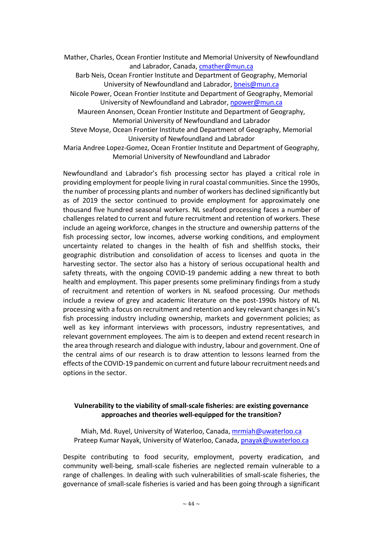Mather, Charles, Ocean Frontier Institute and Memorial University of Newfoundland and Labrador, Canada, cmather@mun.ca

Barb Neis, Ocean Frontier Institute and Department of Geography, Memorial University of Newfoundland and Labrador, bneis@mun.ca

Nicole Power, Ocean Frontier Institute and Department of Geography, Memorial University of Newfoundland and Labrador, npower@mun.ca

Maureen Anonsen, Ocean Frontier Institute and Department of Geography, Memorial University of Newfoundland and Labrador

- Steve Moyse, Ocean Frontier Institute and Department of Geography, Memorial University of Newfoundland and Labrador
- Maria Andree Lopez-Gomez, Ocean Frontier Institute and Department of Geography, Memorial University of Newfoundland and Labrador

Newfoundland and Labrador's fish processing sector has played a critical role in providing employment for people living in rural coastal communities. Since the 1990s, the number of processing plants and number of workers has declined significantly but as of 2019 the sector continued to provide employment for approximately one thousand five hundred seasonal workers. NL seafood processing faces a number of challenges related to current and future recruitment and retention of workers. These include an ageing workforce, changes in the structure and ownership patterns of the fish processing sector, low incomes, adverse working conditions, and employment uncertainty related to changes in the health of fish and shellfish stocks, their geographic distribution and consolidation of access to licenses and quota in the harvesting sector. The sector also has a history of serious occupational health and safety threats, with the ongoing COVID-19 pandemic adding a new threat to both health and employment. This paper presents some preliminary findings from a study of recruitment and retention of workers in NL seafood processing. Our methods include a review of grey and academic literature on the post-1990s history of NL processing with a focus on recruitment and retention and key relevant changes in NL's fish processing industry including ownership, markets and government policies; as well as key informant interviews with processors, industry representatives, and relevant government employees. The aim is to deepen and extend recent research in the area through research and dialogue with industry, labour and government. One of the central aims of our research is to draw attention to lessons learned from the effects of the COVID-19 pandemic on current and future labour recruitment needs and options in the sector.

# **Vulnerability to the viability of small-scale fisheries: are existing governance approaches and theories well-equipped for the transition?**

Miah, Md. Ruyel, University of Waterloo, Canada, mrmiah@uwaterloo.ca Prateep Kumar Nayak, University of Waterloo, Canada, pnayak@uwaterloo.ca

Despite contributing to food security, employment, poverty eradication, and community well-being, small-scale fisheries are neglected remain vulnerable to a range of challenges. In dealing with such vulnerabilities of small-scale fisheries, the governance of small-scale fisheries is varied and has been going through a significant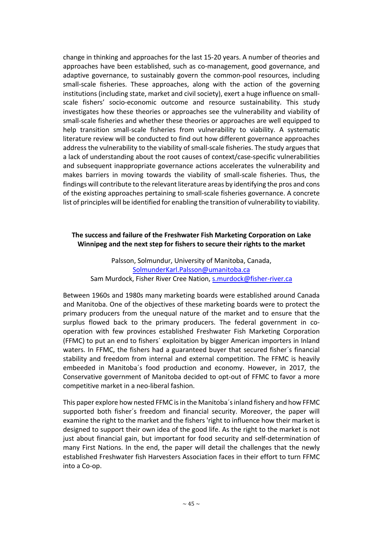change in thinking and approaches for the last 15-20 years. A number of theories and approaches have been established, such as co-management, good governance, and adaptive governance, to sustainably govern the common-pool resources, including small-scale fisheries. These approaches, along with the action of the governing institutions (including state, market and civil society), exert a huge influence on smallscale fishers' socio-economic outcome and resource sustainability. This study investigates how these theories or approaches see the vulnerability and viability of small-scale fisheries and whether these theories or approaches are well equipped to help transition small-scale fisheries from vulnerability to viability. A systematic literature review will be conducted to find out how different governance approaches address the vulnerability to the viability of small-scale fisheries. The study argues that a lack of understanding about the root causes of context/case-specific vulnerabilities and subsequent inappropriate governance actions accelerates the vulnerability and makes barriers in moving towards the viability of small-scale fisheries. Thus, the findings will contribute to the relevant literature areas by identifying the pros and cons of the existing approaches pertaining to small-scale fisheries governance. A concrete list of principles will be identified for enabling the transition of vulnerability to viability.

### **The success and failure of the Freshwater Fish Marketing Corporation on Lake Winnipeg and the next step for fishers to secure their rights to the market**

Palsson, Solmundur, University of Manitoba, Canada, SolmunderKarl.Palsson@umanitoba.ca Sam Murdock, Fisher River Cree Nation, s.murdock@fisher-river.ca

Between 1960s and 1980s many marketing boards were established around Canada and Manitoba. One of the objectives of these marketing boards were to protect the primary producers from the unequal nature of the market and to ensure that the surplus flowed back to the primary producers. The federal government in cooperation with few provinces established Freshwater Fish Marketing Corporation (FFMC) to put an end to fishers´ exploitation by bigger American importers in Inland waters. In FFMC, the fishers had a guaranteed buyer that secured fisher´s financial stability and freedom from internal and external competition. The FFMC is heavily embeeded in Manitoba´s food production and economy. However, in 2017, the Conservative government of Manitoba decided to opt-out of FFMC to favor a more competitive market in a neo-liberal fashion.

This paper explore how nested FFMC is in the Manitoba´s inland fishery and how FFMC supported both fisher´s freedom and financial security. Moreover, the paper will examine the right to the market and the fishers 'right to influence how their market is designed to support their own idea of the good life. As the right to the market is not just about financial gain, but important for food security and self-determination of many First Nations. In the end, the paper will detail the challenges that the newly established Freshwater fish Harvesters Association faces in their effort to turn FFMC into a Co-op.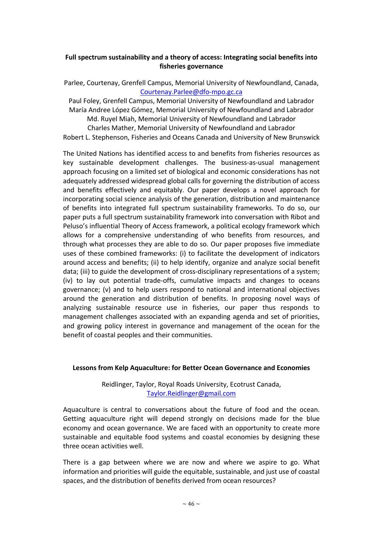# **Full spectrum sustainability and a theory of access: Integrating social benefits into fisheries governance**

```
Parlee, Courtenay, Grenfell Campus, Memorial University of Newfoundland, Canada, 
           Courtenay.Parlee@dfo-mpo.gc.ca
```
Paul Foley, Grenfell Campus, Memorial University of Newfoundland and Labrador María Andree López Gómez, Memorial University of Newfoundland and Labrador Md. Ruyel Miah, Memorial University of Newfoundland and Labrador Charles Mather, Memorial University of Newfoundland and Labrador Robert L. Stephenson, Fisheries and Oceans Canada and University of New Brunswick

The United Nations has identified access to and benefits from fisheries resources as key sustainable development challenges. The business-as-usual management approach focusing on a limited set of biological and economic considerations has not adequately addressed widespread global calls for governing the distribution of access and benefits effectively and equitably. Our paper develops a novel approach for incorporating social science analysis of the generation, distribution and maintenance of benefits into integrated full spectrum sustainability frameworks. To do so, our paper puts a full spectrum sustainability framework into conversation with Ribot and Peluso's influential Theory of Access framework, a political ecology framework which allows for a comprehensive understanding of who benefits from resources, and through what processes they are able to do so. Our paper proposes five immediate uses of these combined frameworks: (i) to facilitate the development of indicators around access and benefits; (ii) to help identify, organize and analyze social benefit data; (iii) to guide the development of cross-disciplinary representations of a system; (iv) to lay out potential trade-offs, cumulative impacts and changes to oceans governance; (v) and to help users respond to national and international objectives around the generation and distribution of benefits. In proposing novel ways of analyzing sustainable resource use in fisheries, our paper thus responds to management challenges associated with an expanding agenda and set of priorities, and growing policy interest in governance and management of the ocean for the benefit of coastal peoples and their communities.

#### **Lessons from Kelp Aquaculture: for Better Ocean Governance and Economies**

Reidlinger, Taylor, Royal Roads University, Ecotrust Canada, Taylor.Reidlinger@gmail.com

Aquaculture is central to conversations about the future of food and the ocean. Getting aquaculture right will depend strongly on decisions made for the blue economy and ocean governance. We are faced with an opportunity to create more sustainable and equitable food systems and coastal economies by designing these three ocean activities well.

There is a gap between where we are now and where we aspire to go. What information and priorities will guide the equitable, sustainable, and just use of coastal spaces, and the distribution of benefits derived from ocean resources?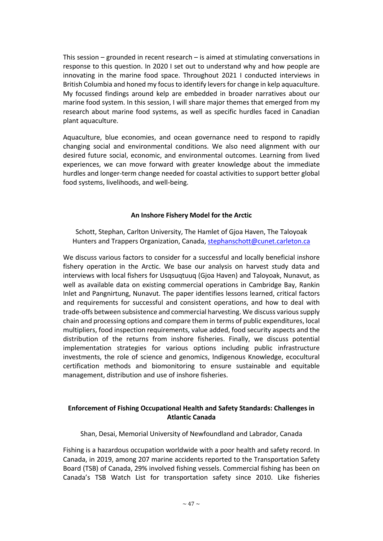This session – grounded in recent research – is aimed at stimulating conversations in response to this question. In 2020 I set out to understand why and how people are innovating in the marine food space. Throughout 2021 I conducted interviews in British Columbia and honed my focus to identify levers for change in kelp aquaculture. My focussed findings around kelp are embedded in broader narratives about our marine food system. In this session, I will share major themes that emerged from my research about marine food systems, as well as specific hurdles faced in Canadian plant aquaculture.

Aquaculture, blue economies, and ocean governance need to respond to rapidly changing social and environmental conditions. We also need alignment with our desired future social, economic, and environmental outcomes. Learning from lived experiences, we can move forward with greater knowledge about the immediate hurdles and longer-term change needed for coastal activities to support better global food systems, livelihoods, and well-being.

#### **An Inshore Fishery Model for the Arctic**

Schott, Stephan, Carlton University, The Hamlet of Gjoa Haven, The Taloyoak Hunters and Trappers Organization, Canada, stephanschott@cunet.carleton.ca

We discuss various factors to consider for a successful and locally beneficial inshore fishery operation in the Arctic. We base our analysis on harvest study data and interviews with local fishers for Usqsuqtuuq (Gjoa Haven) and Taloyoak, Nunavut, as well as available data on existing commercial operations in Cambridge Bay, Rankin Inlet and Pangnirtung, Nunavut. The paper identifies lessons learned, critical factors and requirements for successful and consistent operations, and how to deal with trade-offs between subsistence and commercial harvesting. We discuss various supply chain and processing options and compare them in terms of public expenditures, local multipliers, food inspection requirements, value added, food security aspects and the distribution of the returns from inshore fisheries. Finally, we discuss potential implementation strategies for various options including public infrastructure investments, the role of science and genomics, Indigenous Knowledge, ecocultural certification methods and biomonitoring to ensure sustainable and equitable management, distribution and use of inshore fisheries.

# **Enforcement of Fishing Occupational Health and Safety Standards: Challenges in Atlantic Canada**

Shan, Desai, Memorial University of Newfoundland and Labrador, Canada

Fishing is a hazardous occupation worldwide with a poor health and safety record. In Canada, in 2019, among 207 marine accidents reported to the Transportation Safety Board (TSB) of Canada, 29% involved fishing vessels. Commercial fishing has been on Canada's TSB Watch List for transportation safety since 2010. Like fisheries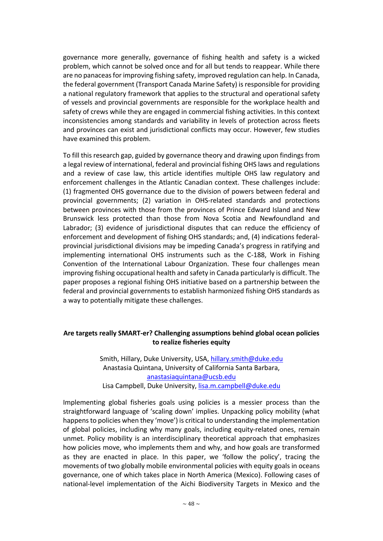governance more generally, governance of fishing health and safety is a wicked problem, which cannot be solved once and for all but tends to reappear. While there are no panaceas for improving fishing safety, improved regulation can help. In Canada, the federal government (Transport Canada Marine Safety) is responsible for providing a national regulatory framework that applies to the structural and operational safety of vessels and provincial governments are responsible for the workplace health and safety of crews while they are engaged in commercial fishing activities. In this context inconsistencies among standards and variability in levels of protection across fleets and provinces can exist and jurisdictional conflicts may occur. However, few studies have examined this problem.

To fill this research gap, guided by governance theory and drawing upon findings from a legal review of international, federal and provincial fishing OHS laws and regulations and a review of case law, this article identifies multiple OHS law regulatory and enforcement challenges in the Atlantic Canadian context. These challenges include: (1) fragmented OHS governance due to the division of powers between federal and provincial governments; (2) variation in OHS-related standards and protections between provinces with those from the provinces of Prince Edward Island and New Brunswick less protected than those from Nova Scotia and Newfoundland and Labrador; (3) evidence of jurisdictional disputes that can reduce the efficiency of enforcement and development of fishing OHS standards; and, (4) indications federalprovincial jurisdictional divisions may be impeding Canada's progress in ratifying and implementing international OHS instruments such as the C-188, Work in Fishing Convention of the International Labour Organization. These four challenges mean improving fishing occupational health and safety in Canada particularly is difficult. The paper proposes a regional fishing OHS initiative based on a partnership between the federal and provincial governments to establish harmonized fishing OHS standards as a way to potentially mitigate these challenges.

#### **Are targets really SMART-er? Challenging assumptions behind global ocean policies to realize fisheries equity**

Smith, Hillary, Duke University, USA, hillary.smith@duke.edu Anastasia Quintana, University of California Santa Barbara, anastasiaquintana@ucsb.edu Lisa Campbell, Duke University, lisa.m.campbell@duke.edu

Implementing global fisheries goals using policies is a messier process than the straightforward language of 'scaling down' implies. Unpacking policy mobility (what happens to policies when they 'move') is critical to understanding the implementation of global policies, including why many goals, including equity-related ones, remain unmet. Policy mobility is an interdisciplinary theoretical approach that emphasizes how policies move, who implements them and why, and how goals are transformed as they are enacted in place. In this paper, we 'follow the policy', tracing the movements of two globally mobile environmental policies with equity goals in oceans governance, one of which takes place in North America (Mexico). Following cases of national-level implementation of the Aichi Biodiversity Targets in Mexico and the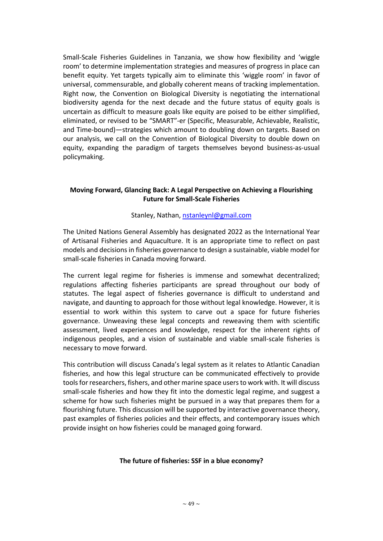Small-Scale Fisheries Guidelines in Tanzania, we show how flexibility and 'wiggle room' to determine implementation strategies and measures of progress in place can benefit equity. Yet targets typically aim to eliminate this 'wiggle room' in favor of universal, commensurable, and globally coherent means of tracking implementation. Right now, the Convention on Biological Diversity is negotiating the international biodiversity agenda for the next decade and the future status of equity goals is uncertain as difficult to measure goals like equity are poised to be either simplified, eliminated, or revised to be "SMART"-er (Specific, Measurable, Achievable, Realistic, and Time-bound)—strategies which amount to doubling down on targets. Based on our analysis, we call on the Convention of Biological Diversity to double down on equity, expanding the paradigm of targets themselves beyond business-as-usual policymaking.

#### **Moving Forward, Glancing Back: A Legal Perspective on Achieving a Flourishing Future for Small-Scale Fisheries**

#### Stanley, Nathan, nstanleynl@gmail.com

The United Nations General Assembly has designated 2022 as the International Year of Artisanal Fisheries and Aquaculture. It is an appropriate time to reflect on past models and decisions in fisheries governance to design a sustainable, viable model for small-scale fisheries in Canada moving forward.

The current legal regime for fisheries is immense and somewhat decentralized; regulations affecting fisheries participants are spread throughout our body of statutes. The legal aspect of fisheries governance is difficult to understand and navigate, and daunting to approach for those without legal knowledge. However, it is essential to work within this system to carve out a space for future fisheries governance. Unweaving these legal concepts and reweaving them with scientific assessment, lived experiences and knowledge, respect for the inherent rights of indigenous peoples, and a vision of sustainable and viable small-scale fisheries is necessary to move forward.

This contribution will discuss Canada's legal system as it relates to Atlantic Canadian fisheries, and how this legal structure can be communicated effectively to provide tools for researchers, fishers, and other marine space users to work with. It will discuss small-scale fisheries and how they fit into the domestic legal regime, and suggest a scheme for how such fisheries might be pursued in a way that prepares them for a flourishing future. This discussion will be supported by interactive governance theory, past examples of fisheries policies and their effects, and contemporary issues which provide insight on how fisheries could be managed going forward.

#### **The future of fisheries: SSF in a blue economy?**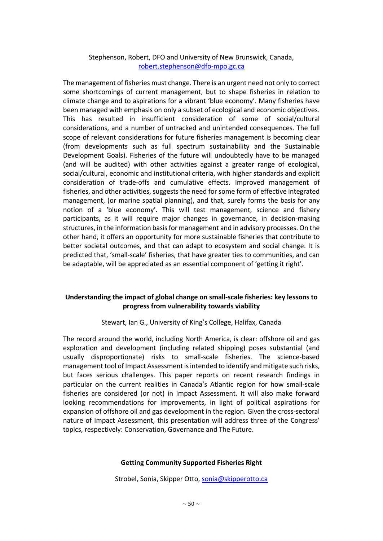# Stephenson, Robert, DFO and University of New Brunswick, Canada, robert.stephenson@dfo-mpo.gc.ca

The management of fisheries must change. There is an urgent need not only to correct some shortcomings of current management, but to shape fisheries in relation to climate change and to aspirations for a vibrant 'blue economy'. Many fisheries have been managed with emphasis on only a subset of ecological and economic objectives. This has resulted in insufficient consideration of some of social/cultural considerations, and a number of untracked and unintended consequences. The full scope of relevant considerations for future fisheries management is becoming clear (from developments such as full spectrum sustainability and the Sustainable Development Goals). Fisheries of the future will undoubtedly have to be managed (and will be audited) with other activities against a greater range of ecological, social/cultural, economic and institutional criteria, with higher standards and explicit consideration of trade-offs and cumulative effects. Improved management of fisheries, and other activities, suggests the need for some form of effective integrated management, (or marine spatial planning), and that, surely forms the basis for any notion of a 'blue economy'. This will test management, science and fishery participants, as it will require major changes in governance, in decision-making structures, in the information basis for management and in advisory processes. On the other hand, it offers an opportunity for more sustainable fisheries that contribute to better societal outcomes, and that can adapt to ecosystem and social change. It is predicted that, 'small-scale' fisheries, that have greater ties to communities, and can be adaptable, will be appreciated as an essential component of 'getting it right'.

# **Understanding the impact of global change on small-scale fisheries: key lessons to progress from vulnerability towards viability**

Stewart, Ian G., University of King's College, Halifax, Canada

The record around the world, including North America, is clear: offshore oil and gas exploration and development (including related shipping) poses substantial (and usually disproportionate) risks to small-scale fisheries. The science-based management tool of Impact Assessment is intended to identify and mitigate such risks, but faces serious challenges. This paper reports on recent research findings in particular on the current realities in Canada's Atlantic region for how small-scale fisheries are considered (or not) in Impact Assessment. It will also make forward looking recommendations for improvements, in light of political aspirations for expansion of offshore oil and gas development in the region. Given the cross-sectoral nature of Impact Assessment, this presentation will address three of the Congress' topics, respectively: Conservation, Governance and The Future.

#### **Getting Community Supported Fisheries Right**

Strobel, Sonia, Skipper Otto, sonia@skipperotto.ca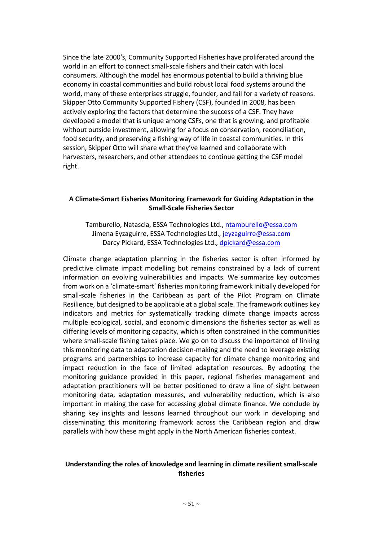Since the late 2000's, Community Supported Fisheries have proliferated around the world in an effort to connect small-scale fishers and their catch with local consumers. Although the model has enormous potential to build a thriving blue economy in coastal communities and build robust local food systems around the world, many of these enterprises struggle, founder, and fail for a variety of reasons. Skipper Otto Community Supported Fishery (CSF), founded in 2008, has been actively exploring the factors that determine the success of a CSF. They have developed a model that is unique among CSFs, one that is growing, and profitable without outside investment, allowing for a focus on conservation, reconciliation, food security, and preserving a fishing way of life in coastal communities. In this session, Skipper Otto will share what they've learned and collaborate with harvesters, researchers, and other attendees to continue getting the CSF model right.

#### **A Climate-Smart Fisheries Monitoring Framework for Guiding Adaptation in the Small-Scale Fisheries Sector**

Tamburello, Natascia, ESSA Technologies Ltd., ntamburello@essa.com Jimena Eyzaguirre, ESSA Technologies Ltd., jeyzaguirre@essa.com Darcy Pickard, ESSA Technologies Ltd., dpickard@essa.com

Climate change adaptation planning in the fisheries sector is often informed by predictive climate impact modelling but remains constrained by a lack of current information on evolving vulnerabilities and impacts. We summarize key outcomes from work on a 'climate-smart' fisheries monitoring framework initially developed for small-scale fisheries in the Caribbean as part of the Pilot Program on Climate Resilience, but designed to be applicable at a global scale. The framework outlines key indicators and metrics for systematically tracking climate change impacts across multiple ecological, social, and economic dimensions the fisheries sector as well as differing levels of monitoring capacity, which is often constrained in the communities where small-scale fishing takes place. We go on to discuss the importance of linking this monitoring data to adaptation decision-making and the need to leverage existing programs and partnerships to increase capacity for climate change monitoring and impact reduction in the face of limited adaptation resources. By adopting the monitoring guidance provided in this paper, regional fisheries management and adaptation practitioners will be better positioned to draw a line of sight between monitoring data, adaptation measures, and vulnerability reduction, which is also important in making the case for accessing global climate finance. We conclude by sharing key insights and lessons learned throughout our work in developing and disseminating this monitoring framework across the Caribbean region and draw parallels with how these might apply in the North American fisheries context.

#### **Understanding the roles of knowledge and learning in climate resilient small-scale fisheries**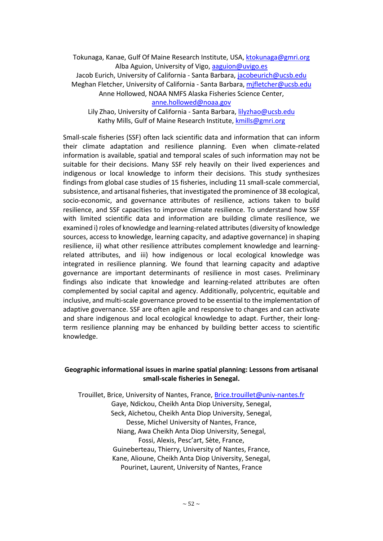Tokunaga, Kanae, Gulf Of Maine Research Institute, USA, ktokunaga@gmri.org Alba Aguion, University of Vigo, aaguion@uvigo.es

Jacob Eurich, University of California - Santa Barbara, *jacobeurich@ucsb.edu* Meghan Fletcher, University of California - Santa Barbara, mjfletcher@ucsb.edu

Anne Hollowed, NOAA NMFS Alaska Fisheries Science Center,

anne.hollowed@noaa.gov

Lily Zhao, University of California - Santa Barbara, lilyzhao@ucsb.edu Kathy Mills, Gulf of Maine Research Institute, kmills@gmri.org

Small-scale fisheries (SSF) often lack scientific data and information that can inform their climate adaptation and resilience planning. Even when climate-related information is available, spatial and temporal scales of such information may not be suitable for their decisions. Many SSF rely heavily on their lived experiences and indigenous or local knowledge to inform their decisions. This study synthesizes findings from global case studies of 15 fisheries, including 11 small-scale commercial, subsistence, and artisanal fisheries, that investigated the prominence of 38 ecological, socio-economic, and governance attributes of resilience, actions taken to build resilience, and SSF capacities to improve climate resilience. To understand how SSF with limited scientific data and information are building climate resilience, we examined i) roles of knowledge and learning-related attributes (diversity of knowledge sources, access to knowledge, learning capacity, and adaptive governance) in shaping resilience, ii) what other resilience attributes complement knowledge and learningrelated attributes, and iii) how indigenous or local ecological knowledge was integrated in resilience planning. We found that learning capacity and adaptive governance are important determinants of resilience in most cases. Preliminary findings also indicate that knowledge and learning-related attributes are often complemented by social capital and agency. Additionally, polycentric, equitable and inclusive, and multi-scale governance proved to be essential to the implementation of adaptive governance. SSF are often agile and responsive to changes and can activate and share indigenous and local ecological knowledge to adapt. Further, their longterm resilience planning may be enhanced by building better access to scientific knowledge.

#### **Geographic informational issues in marine spatial planning: Lessons from artisanal small-scale fisheries in Senegal.**

Trouillet, Brice, University of Nantes, France, Brice.trouillet@univ-nantes.fr Gaye, Ndickou, Cheikh Anta Diop University, Senegal, Seck, Aïchetou, Cheikh Anta Diop University, Senegal, Desse, Michel University of Nantes, France, Niang, Awa Cheikh Anta Diop University, Senegal, Fossi, Alexis, Pesc'art, Sète, France, Guineberteau, Thierry, University of Nantes, France, Kane, Alioune, Cheikh Anta Diop University, Senegal, Pourinet, Laurent, University of Nantes, France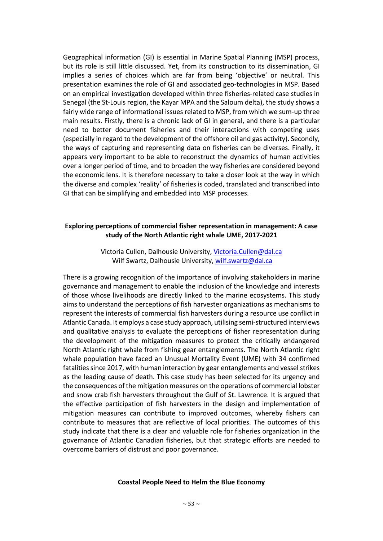Geographical information (GI) is essential in Marine Spatial Planning (MSP) process, but its role is still little discussed. Yet, from its construction to its dissemination, GI implies a series of choices which are far from being 'objective' or neutral. This presentation examines the role of GI and associated geo-technologies in MSP. Based on an empirical investigation developed within three fisheries-related case studies in Senegal (the St-Louis region, the Kayar MPA and the Saloum delta), the study shows a fairly wide range of informational issues related to MSP, from which we sum-up three main results. Firstly, there is a chronic lack of GI in general, and there is a particular need to better document fisheries and their interactions with competing uses (especially in regard to the development of the offshore oil and gas activity). Secondly, the ways of capturing and representing data on fisheries can be diverses. Finally, it appears very important to be able to reconstruct the dynamics of human activities over a longer period of time, and to broaden the way fisheries are considered beyond the economic lens. It is therefore necessary to take a closer look at the way in which the diverse and complex 'reality' of fisheries is coded, translated and transcribed into GI that can be simplifying and embedded into MSP processes.

#### **Exploring perceptions of commercial fisher representation in management: A case study of the North Atlantic right whale UME, 2017-2021**

Victoria Cullen, Dalhousie University, Victoria.Cullen@dal.ca Wilf Swartz, Dalhousie University, wilf.swartz@dal.ca

There is a growing recognition of the importance of involving stakeholders in marine governance and management to enable the inclusion of the knowledge and interests of those whose livelihoods are directly linked to the marine ecosystems. This study aims to understand the perceptions of fish harvester organizations as mechanisms to represent the interests of commercial fish harvesters during a resource use conflict in Atlantic Canada. It employs a case study approach, utilising semi-structured interviews and qualitative analysis to evaluate the perceptions of fisher representation during the development of the mitigation measures to protect the critically endangered North Atlantic right whale from fishing gear entanglements. The North Atlantic right whale population have faced an Unusual Mortality Event (UME) with 34 confirmed fatalities since 2017, with human interaction by gear entanglements and vessel strikes as the leading cause of death. This case study has been selected for its urgency and the consequences of the mitigation measures on the operations of commercial lobster and snow crab fish harvesters throughout the Gulf of St. Lawrence. It is argued that the effective participation of fish harvesters in the design and implementation of mitigation measures can contribute to improved outcomes, whereby fishers can contribute to measures that are reflective of local priorities. The outcomes of this study indicate that there is a clear and valuable role for fisheries organization in the governance of Atlantic Canadian fisheries, but that strategic efforts are needed to overcome barriers of distrust and poor governance.

#### **Coastal People Need to Helm the Blue Economy**